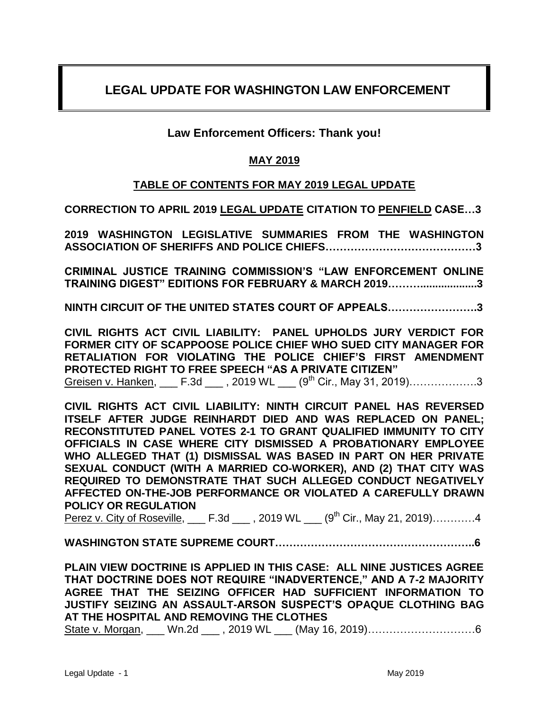# **LEGAL UPDATE FOR WASHINGTON LAW ENFORCEMENT**

# **Law Enforcement Officers: Thank you!**

# **MAY 2019**

# **TABLE OF CONTENTS FOR MAY 2019 LEGAL UPDATE**

**CORRECTION TO APRIL 2019 LEGAL UPDATE CITATION TO PENFIELD CASE…3**

**2019 WASHINGTON LEGISLATIVE SUMMARIES FROM THE WASHINGTON ASSOCIATION OF SHERIFFS AND POLICE CHIEFS……………………………………3**

**CRIMINAL JUSTICE TRAINING COMMISSION'S "LAW ENFORCEMENT ONLINE TRAINING DIGEST" EDITIONS FOR FEBRUARY & MARCH 2019………...................3**

**NINTH CIRCUIT OF THE UNITED STATES COURT OF APPEALS…………………….3**

**CIVIL RIGHTS ACT CIVIL LIABILITY: PANEL UPHOLDS JURY VERDICT FOR FORMER CITY OF SCAPPOOSE POLICE CHIEF WHO SUED CITY MANAGER FOR RETALIATION FOR VIOLATING THE POLICE CHIEF'S FIRST AMENDMENT PROTECTED RIGHT TO FREE SPEECH "AS A PRIVATE CITIZEN"**

Greisen v. Hanken, \_\_\_ F.3d \_\_\_, 2019 WL \_\_\_ (9<sup>th</sup> Cir., May 31, 2019)…………………3

**CIVIL RIGHTS ACT CIVIL LIABILITY: NINTH CIRCUIT PANEL HAS REVERSED ITSELF AFTER JUDGE REINHARDT DIED AND WAS REPLACED ON PANEL; RECONSTITUTED PANEL VOTES 2-1 TO GRANT QUALIFIED IMMUNITY TO CITY OFFICIALS IN CASE WHERE CITY DISMISSED A PROBATIONARY EMPLOYEE WHO ALLEGED THAT (1) DISMISSAL WAS BASED IN PART ON HER PRIVATE SEXUAL CONDUCT (WITH A MARRIED CO-WORKER), AND (2) THAT CITY WAS REQUIRED TO DEMONSTRATE THAT SUCH ALLEGED CONDUCT NEGATIVELY AFFECTED ON-THE-JOB PERFORMANCE OR VIOLATED A CAREFULLY DRAWN POLICY OR REGULATION**

Perez v. City of Roseville, F.3d , 2019 WL (9<sup>th</sup> Cir., May 21, 2019)…………4

**WASHINGTON STATE SUPREME COURT………………………………………………..6**

**PLAIN VIEW DOCTRINE IS APPLIED IN THIS CASE: ALL NINE JUSTICES AGREE THAT DOCTRINE DOES NOT REQUIRE "INADVERTENCE," AND A 7-2 MAJORITY AGREE THAT THE SEIZING OFFICER HAD SUFFICIENT INFORMATION TO JUSTIFY SEIZING AN ASSAULT-ARSON SUSPECT'S OPAQUE CLOTHING BAG AT THE HOSPITAL AND REMOVING THE CLOTHES**

State v. Morgan, \_\_\_ Wn.2d \_\_\_ , 2019 WL \_\_\_ (May 16, 2019)…………………………6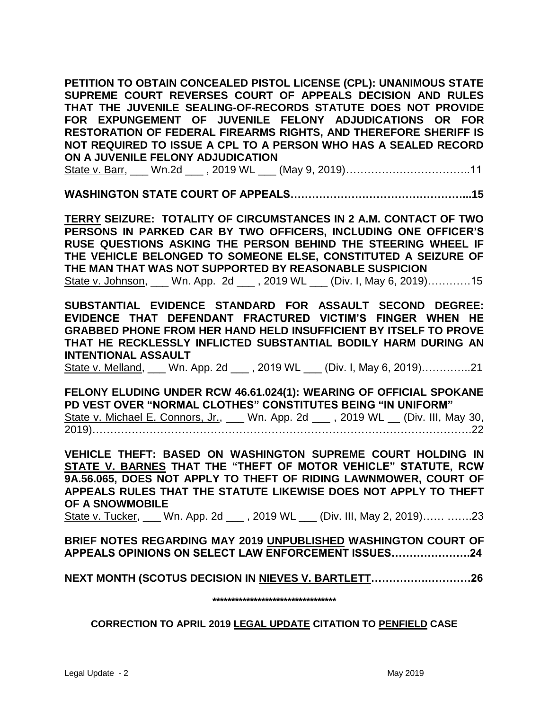**PETITION TO OBTAIN CONCEALED PISTOL LICENSE (CPL): UNANIMOUS STATE SUPREME COURT REVERSES COURT OF APPEALS DECISION AND RULES THAT THE JUVENILE SEALING-OF-RECORDS STATUTE DOES NOT PROVIDE FOR EXPUNGEMENT OF JUVENILE FELONY ADJUDICATIONS OR FOR RESTORATION OF FEDERAL FIREARMS RIGHTS, AND THEREFORE SHERIFF IS NOT REQUIRED TO ISSUE A CPL TO A PERSON WHO HAS A SEALED RECORD ON A JUVENILE FELONY ADJUDICATION** 

State v. Barr, \_\_\_ Wn.2d \_\_\_ , 2019 WL \_\_\_ (May 9, 2019)……………………………..11

**WASHINGTON STATE COURT OF APPEALS…………………………………………...15**

**TERRY SEIZURE: TOTALITY OF CIRCUMSTANCES IN 2 A.M. CONTACT OF TWO PERSONS IN PARKED CAR BY TWO OFFICERS, INCLUDING ONE OFFICER'S RUSE QUESTIONS ASKING THE PERSON BEHIND THE STEERING WHEEL IF THE VEHICLE BELONGED TO SOMEONE ELSE, CONSTITUTED A SEIZURE OF THE MAN THAT WAS NOT SUPPORTED BY REASONABLE SUSPICION** State v. Johnson, \_\_\_ Wn. App. 2d \_\_\_ , 2019 WL \_\_\_ (Div. I, May 6, 2019)…………15

**SUBSTANTIAL EVIDENCE STANDARD FOR ASSAULT SECOND DEGREE: EVIDENCE THAT DEFENDANT FRACTURED VICTIM'S FINGER WHEN HE GRABBED PHONE FROM HER HAND HELD INSUFFICIENT BY ITSELF TO PROVE THAT HE RECKLESSLY INFLICTED SUBSTANTIAL BODILY HARM DURING AN INTENTIONAL ASSAULT**

State v. Melland, \_\_\_ Wn. App. 2d \_\_\_ , 2019 WL \_\_\_ (Div. I, May 6, 2019)…………..21

**FELONY ELUDING UNDER RCW 46.61.024(1): WEARING OF OFFICIAL SPOKANE PD VEST OVER "NORMAL CLOTHES" CONSTITUTES BEING "IN UNIFORM"**  State v. Michael E. Connors, Jr., \_\_\_ Wn. App. 2d \_\_\_, 2019 WL \_\_ (Div. III, May 30, 2019)…………………………………………………………………………………………….22

**VEHICLE THEFT: BASED ON WASHINGTON SUPREME COURT HOLDING IN STATE V. BARNES THAT THE "THEFT OF MOTOR VEHICLE" STATUTE, RCW 9A.56.065, DOES NOT APPLY TO THEFT OF RIDING LAWNMOWER, COURT OF APPEALS RULES THAT THE STATUTE LIKEWISE DOES NOT APPLY TO THEFT OF A SNOWMOBILE**

State v. Tucker, \_\_\_ Wn. App. 2d \_\_\_ , 2019 WL \_\_\_ (Div. III, May 2, 2019)…… …….23

**BRIEF NOTES REGARDING MAY 2019 UNPUBLISHED WASHINGTON COURT OF APPEALS OPINIONS ON SELECT LAW ENFORCEMENT ISSUES………………….24**

# **NEXT MONTH (SCOTUS DECISION IN NIEVES V. BARTLETT…………….…………26**

**\*\*\*\*\*\*\*\*\*\*\*\*\*\*\*\*\*\*\*\*\*\*\*\*\*\*\*\*\*\*\*\*\***

# **CORRECTION TO APRIL 2019 LEGAL UPDATE CITATION TO PENFIELD CASE**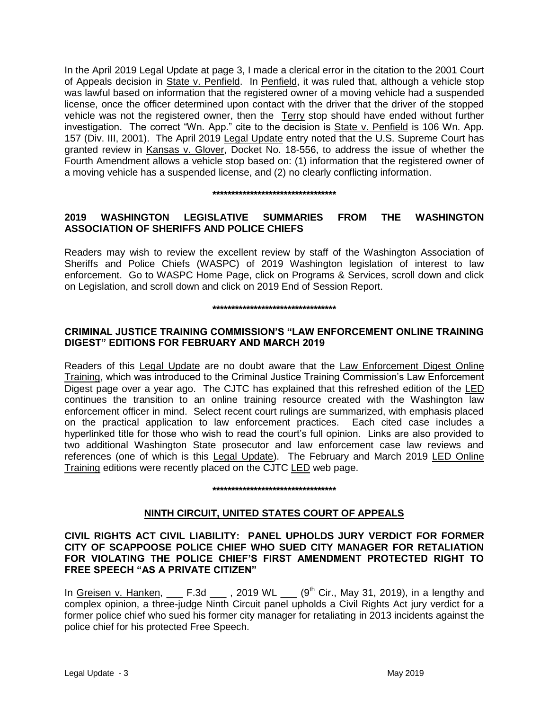In the April 2019 Legal Update at page 3, I made a clerical error in the citation to the 2001 Court of Appeals decision in State v. Penfield. In Penfield, it was ruled that, although a vehicle stop was lawful based on information that the registered owner of a moving vehicle had a suspended license, once the officer determined upon contact with the driver that the driver of the stopped vehicle was not the registered owner, then the Terry stop should have ended without further investigation. The correct "Wn. App." cite to the decision is State v. Penfield is 106 Wn. App. 157 (Div. III, 2001). The April 2019 Legal Update entry noted that the U.S. Supreme Court has granted review in Kansas v. Glover, Docket No. 18-556, to address the issue of whether the Fourth Amendment allows a vehicle stop based on: (1) information that the registered owner of a moving vehicle has a suspended license, and (2) no clearly conflicting information.

#### **\*\*\*\*\*\*\*\*\*\*\*\*\*\*\*\*\*\*\*\*\*\*\*\*\*\*\*\*\*\*\*\*\***

# **2019 WASHINGTON LEGISLATIVE SUMMARIES FROM THE WASHINGTON ASSOCIATION OF SHERIFFS AND POLICE CHIEFS**

Readers may wish to review the excellent review by staff of the Washington Association of Sheriffs and Police Chiefs (WASPC) of 2019 Washington legislation of interest to law enforcement. Go to WASPC Home Page, click on Programs & Services, scroll down and click on Legislation, and scroll down and click on 2019 End of Session Report.

### **\*\*\*\*\*\*\*\*\*\*\*\*\*\*\*\*\*\*\*\*\*\*\*\*\*\*\*\*\*\*\*\*\***

# **CRIMINAL JUSTICE TRAINING COMMISSION'S "LAW ENFORCEMENT ONLINE TRAINING DIGEST" EDITIONS FOR FEBRUARY AND MARCH 2019**

Readers of this Legal Update are no doubt aware that the Law Enforcement Digest Online Training, which was introduced to the Criminal Justice Training Commission's Law Enforcement Digest page over a year ago. The CJTC has explained that this refreshed edition of the LED continues the transition to an online training resource created with the Washington law enforcement officer in mind. Select recent court rulings are summarized, with emphasis placed on the practical application to law enforcement practices. Each cited case includes a hyperlinked title for those who wish to read the court's full opinion. Links are also provided to two additional Washington State prosecutor and law enforcement case law reviews and references (one of which is this Legal Update). The February and March 2019 LED Online Training editions were recently placed on the CJTC LED web page.

# **\*\*\*\*\*\*\*\*\*\*\*\*\*\*\*\*\*\*\*\*\*\*\*\*\*\*\*\*\*\*\*\*\***

# **NINTH CIRCUIT, UNITED STATES COURT OF APPEALS**

## **CIVIL RIGHTS ACT CIVIL LIABILITY: PANEL UPHOLDS JURY VERDICT FOR FORMER CITY OF SCAPPOOSE POLICE CHIEF WHO SUED CITY MANAGER FOR RETALIATION FOR VIOLATING THE POLICE CHIEF'S FIRST AMENDMENT PROTECTED RIGHT TO FREE SPEECH "AS A PRIVATE CITIZEN"**

In Greisen v. Hanken,  $\Box$  F.3d  $\Box$ , 2019 WL  $\Box$  (9<sup>th</sup> Cir., May 31, 2019), in a lengthy and complex opinion, a three-judge Ninth Circuit panel upholds a Civil Rights Act jury verdict for a former police chief who sued his former city manager for retaliating in 2013 incidents against the police chief for his protected Free Speech.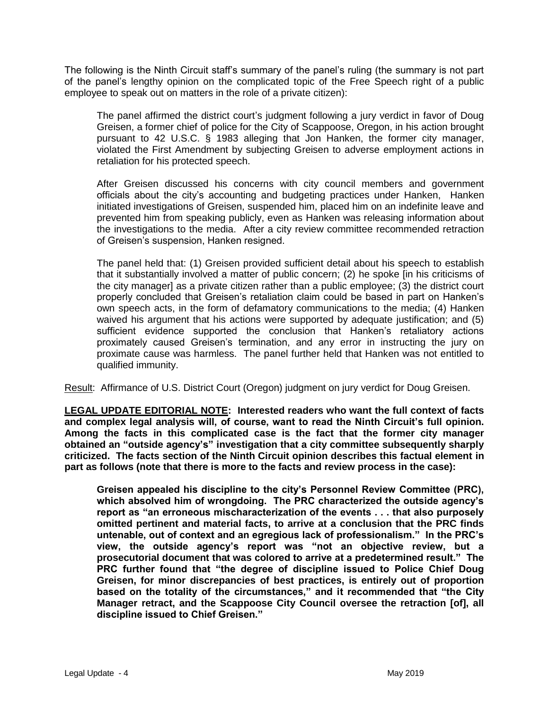The following is the Ninth Circuit staff's summary of the panel's ruling (the summary is not part of the panel's lengthy opinion on the complicated topic of the Free Speech right of a public employee to speak out on matters in the role of a private citizen):

The panel affirmed the district court's judgment following a jury verdict in favor of Doug Greisen, a former chief of police for the City of Scappoose, Oregon, in his action brought pursuant to 42 U.S.C. § 1983 alleging that Jon Hanken, the former city manager, violated the First Amendment by subjecting Greisen to adverse employment actions in retaliation for his protected speech.

After Greisen discussed his concerns with city council members and government officials about the city's accounting and budgeting practices under Hanken, Hanken initiated investigations of Greisen, suspended him, placed him on an indefinite leave and prevented him from speaking publicly, even as Hanken was releasing information about the investigations to the media. After a city review committee recommended retraction of Greisen's suspension, Hanken resigned.

The panel held that: (1) Greisen provided sufficient detail about his speech to establish that it substantially involved a matter of public concern; (2) he spoke [in his criticisms of the city manager] as a private citizen rather than a public employee; (3) the district court properly concluded that Greisen's retaliation claim could be based in part on Hanken's own speech acts, in the form of defamatory communications to the media; (4) Hanken waived his argument that his actions were supported by adequate justification; and (5) sufficient evidence supported the conclusion that Hanken's retaliatory actions proximately caused Greisen's termination, and any error in instructing the jury on proximate cause was harmless. The panel further held that Hanken was not entitled to qualified immunity.

Result: Affirmance of U.S. District Court (Oregon) judgment on jury verdict for Doug Greisen.

**LEGAL UPDATE EDITORIAL NOTE: Interested readers who want the full context of facts and complex legal analysis will, of course, want to read the Ninth Circuit's full opinion. Among the facts in this complicated case is the fact that the former city manager obtained an "outside agency's" investigation that a city committee subsequently sharply criticized. The facts section of the Ninth Circuit opinion describes this factual element in part as follows (note that there is more to the facts and review process in the case):**

**Greisen appealed his discipline to the city's Personnel Review Committee (PRC), which absolved him of wrongdoing. The PRC characterized the outside agency's report as "an erroneous mischaracterization of the events . . . that also purposely omitted pertinent and material facts, to arrive at a conclusion that the PRC finds untenable, out of context and an egregious lack of professionalism." In the PRC's view, the outside agency's report was "not an objective review, but a prosecutorial document that was colored to arrive at a predetermined result." The PRC further found that "the degree of discipline issued to Police Chief Doug Greisen, for minor discrepancies of best practices, is entirely out of proportion based on the totality of the circumstances," and it recommended that "the City Manager retract, and the Scappoose City Council oversee the retraction [of], all discipline issued to Chief Greisen."**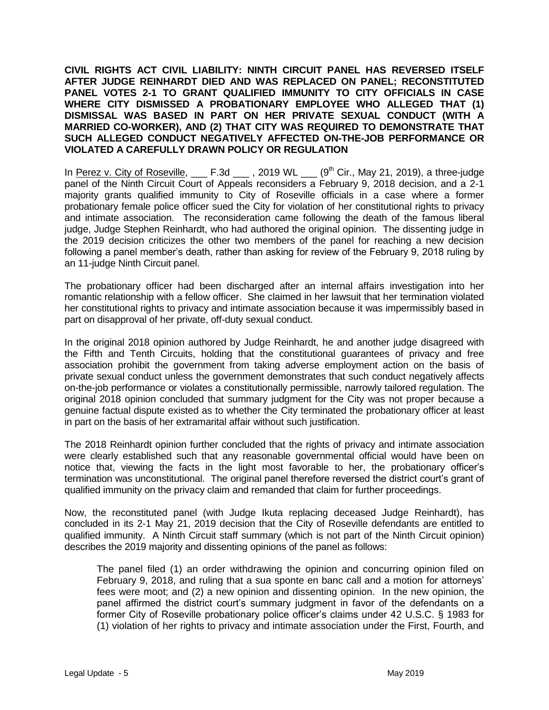**CIVIL RIGHTS ACT CIVIL LIABILITY: NINTH CIRCUIT PANEL HAS REVERSED ITSELF AFTER JUDGE REINHARDT DIED AND WAS REPLACED ON PANEL; RECONSTITUTED PANEL VOTES 2-1 TO GRANT QUALIFIED IMMUNITY TO CITY OFFICIALS IN CASE WHERE CITY DISMISSED A PROBATIONARY EMPLOYEE WHO ALLEGED THAT (1) DISMISSAL WAS BASED IN PART ON HER PRIVATE SEXUAL CONDUCT (WITH A MARRIED CO-WORKER), AND (2) THAT CITY WAS REQUIRED TO DEMONSTRATE THAT SUCH ALLEGED CONDUCT NEGATIVELY AFFECTED ON-THE-JOB PERFORMANCE OR VIOLATED A CAREFULLY DRAWN POLICY OR REGULATION**

In Perez v. City of Roseville,  $F.3d$ , 2019 WL  $(9<sup>th</sup> Cir., May 21, 2019), a three-iudge$ panel of the Ninth Circuit Court of Appeals reconsiders a February 9, 2018 decision, and a 2-1 majority grants qualified immunity to City of Roseville officials in a case where a former probationary female police officer sued the City for violation of her constitutional rights to privacy and intimate association. The reconsideration came following the death of the famous liberal judge, Judge Stephen Reinhardt, who had authored the original opinion. The dissenting judge in the 2019 decision criticizes the other two members of the panel for reaching a new decision following a panel member's death, rather than asking for review of the February 9, 2018 ruling by an 11-judge Ninth Circuit panel.

The probationary officer had been discharged after an internal affairs investigation into her romantic relationship with a fellow officer. She claimed in her lawsuit that her termination violated her constitutional rights to privacy and intimate association because it was impermissibly based in part on disapproval of her private, off-duty sexual conduct.

In the original 2018 opinion authored by Judge Reinhardt, he and another judge disagreed with the Fifth and Tenth Circuits, holding that the constitutional guarantees of privacy and free association prohibit the government from taking adverse employment action on the basis of private sexual conduct unless the government demonstrates that such conduct negatively affects on-the-job performance or violates a constitutionally permissible, narrowly tailored regulation. The original 2018 opinion concluded that summary judgment for the City was not proper because a genuine factual dispute existed as to whether the City terminated the probationary officer at least in part on the basis of her extramarital affair without such justification.

The 2018 Reinhardt opinion further concluded that the rights of privacy and intimate association were clearly established such that any reasonable governmental official would have been on notice that, viewing the facts in the light most favorable to her, the probationary officer's termination was unconstitutional. The original panel therefore reversed the district court's grant of qualified immunity on the privacy claim and remanded that claim for further proceedings.

Now, the reconstituted panel (with Judge Ikuta replacing deceased Judge Reinhardt), has concluded in its 2-1 May 21, 2019 decision that the City of Roseville defendants are entitled to qualified immunity. A Ninth Circuit staff summary (which is not part of the Ninth Circuit opinion) describes the 2019 majority and dissenting opinions of the panel as follows:

The panel filed (1) an order withdrawing the opinion and concurring opinion filed on February 9, 2018, and ruling that a sua sponte en banc call and a motion for attorneys' fees were moot; and (2) a new opinion and dissenting opinion. In the new opinion, the panel affirmed the district court's summary judgment in favor of the defendants on a former City of Roseville probationary police officer's claims under 42 U.S.C. § 1983 for (1) violation of her rights to privacy and intimate association under the First, Fourth, and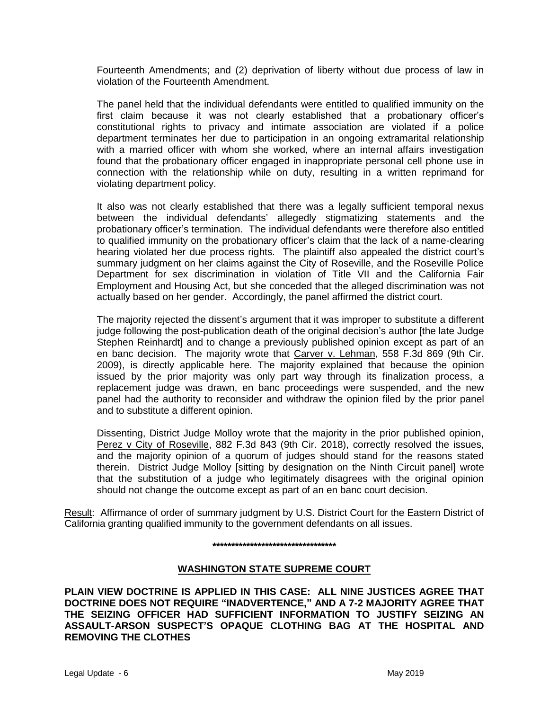Fourteenth Amendments; and (2) deprivation of liberty without due process of law in violation of the Fourteenth Amendment.

The panel held that the individual defendants were entitled to qualified immunity on the first claim because it was not clearly established that a probationary officer's constitutional rights to privacy and intimate association are violated if a police department terminates her due to participation in an ongoing extramarital relationship with a married officer with whom she worked, where an internal affairs investigation found that the probationary officer engaged in inappropriate personal cell phone use in connection with the relationship while on duty, resulting in a written reprimand for violating department policy.

It also was not clearly established that there was a legally sufficient temporal nexus between the individual defendants' allegedly stigmatizing statements and the probationary officer's termination. The individual defendants were therefore also entitled to qualified immunity on the probationary officer's claim that the lack of a name-clearing hearing violated her due process rights. The plaintiff also appealed the district court's summary judgment on her claims against the City of Roseville, and the Roseville Police Department for sex discrimination in violation of Title VII and the California Fair Employment and Housing Act, but she conceded that the alleged discrimination was not actually based on her gender. Accordingly, the panel affirmed the district court.

The majority rejected the dissent's argument that it was improper to substitute a different judge following the post-publication death of the original decision's author [the late Judge Stephen Reinhardt] and to change a previously published opinion except as part of an en banc decision. The majority wrote that Carver v. Lehman, 558 F.3d 869 (9th Cir. 2009), is directly applicable here. The majority explained that because the opinion issued by the prior majority was only part way through its finalization process, a replacement judge was drawn, en banc proceedings were suspended, and the new panel had the authority to reconsider and withdraw the opinion filed by the prior panel and to substitute a different opinion.

Dissenting, District Judge Molloy wrote that the majority in the prior published opinion, Perez v City of Roseville, 882 F.3d 843 (9th Cir. 2018), correctly resolved the issues, and the majority opinion of a quorum of judges should stand for the reasons stated therein. District Judge Molloy [sitting by designation on the Ninth Circuit panel] wrote that the substitution of a judge who legitimately disagrees with the original opinion should not change the outcome except as part of an en banc court decision.

Result: Affirmance of order of summary judgment by U.S. District Court for the Eastern District of California granting qualified immunity to the government defendants on all issues.

#### **\*\*\*\*\*\*\*\*\*\*\*\*\*\*\*\*\*\*\*\*\*\*\*\*\*\*\*\*\*\*\*\*\***

# **WASHINGTON STATE SUPREME COURT**

**PLAIN VIEW DOCTRINE IS APPLIED IN THIS CASE: ALL NINE JUSTICES AGREE THAT DOCTRINE DOES NOT REQUIRE "INADVERTENCE," AND A 7-2 MAJORITY AGREE THAT THE SEIZING OFFICER HAD SUFFICIENT INFORMATION TO JUSTIFY SEIZING AN ASSAULT-ARSON SUSPECT'S OPAQUE CLOTHING BAG AT THE HOSPITAL AND REMOVING THE CLOTHES**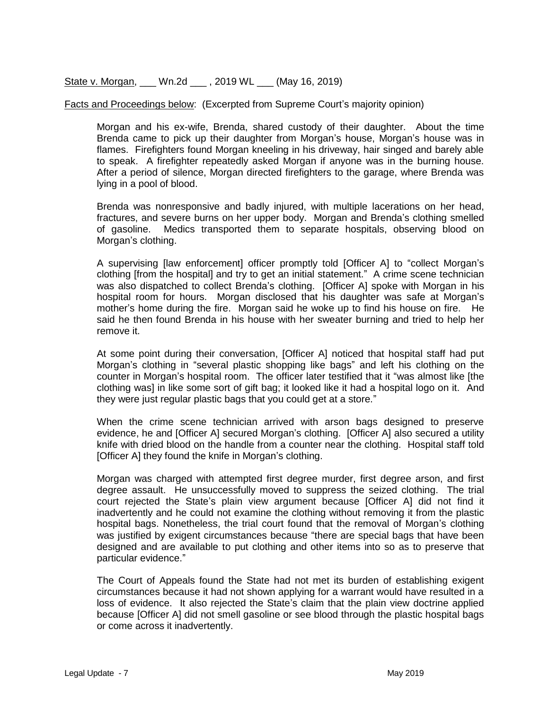State v. Morgan, \_\_\_ Wn.2d \_\_\_ , 2019 WL \_\_\_ (May 16, 2019)

Facts and Proceedings below: (Excerpted from Supreme Court's majority opinion)

Morgan and his ex-wife, Brenda, shared custody of their daughter. About the time Brenda came to pick up their daughter from Morgan's house, Morgan's house was in flames. Firefighters found Morgan kneeling in his driveway, hair singed and barely able to speak. A firefighter repeatedly asked Morgan if anyone was in the burning house. After a period of silence, Morgan directed firefighters to the garage, where Brenda was lying in a pool of blood.

Brenda was nonresponsive and badly injured, with multiple lacerations on her head, fractures, and severe burns on her upper body. Morgan and Brenda's clothing smelled of gasoline. Medics transported them to separate hospitals, observing blood on Morgan's clothing.

A supervising [law enforcement] officer promptly told [Officer A] to "collect Morgan's clothing [from the hospital] and try to get an initial statement." A crime scene technician was also dispatched to collect Brenda's clothing. [Officer A] spoke with Morgan in his hospital room for hours. Morgan disclosed that his daughter was safe at Morgan's mother's home during the fire. Morgan said he woke up to find his house on fire. He said he then found Brenda in his house with her sweater burning and tried to help her remove it.

At some point during their conversation, [Officer A] noticed that hospital staff had put Morgan's clothing in "several plastic shopping like bags" and left his clothing on the counter in Morgan's hospital room. The officer later testified that it "was almost like [the clothing was] in like some sort of gift bag; it looked like it had a hospital logo on it. And they were just regular plastic bags that you could get at a store."

When the crime scene technician arrived with arson bags designed to preserve evidence, he and [Officer A] secured Morgan's clothing. [Officer A] also secured a utility knife with dried blood on the handle from a counter near the clothing. Hospital staff told [Officer A] they found the knife in Morgan's clothing.

Morgan was charged with attempted first degree murder, first degree arson, and first degree assault. He unsuccessfully moved to suppress the seized clothing. The trial court rejected the State's plain view argument because [Officer A] did not find it inadvertently and he could not examine the clothing without removing it from the plastic hospital bags. Nonetheless, the trial court found that the removal of Morgan's clothing was justified by exigent circumstances because "there are special bags that have been designed and are available to put clothing and other items into so as to preserve that particular evidence."

The Court of Appeals found the State had not met its burden of establishing exigent circumstances because it had not shown applying for a warrant would have resulted in a loss of evidence. It also rejected the State's claim that the plain view doctrine applied because [Officer A] did not smell gasoline or see blood through the plastic hospital bags or come across it inadvertently.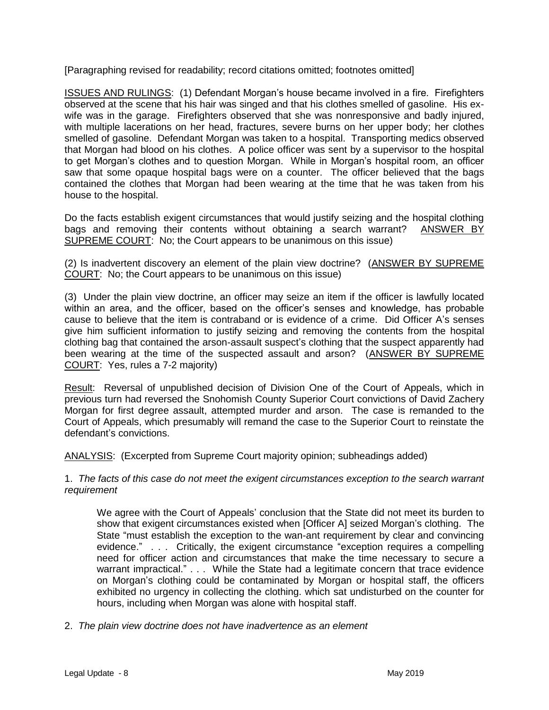[Paragraphing revised for readability; record citations omitted; footnotes omitted]

ISSUES AND RULINGS: (1) Defendant Morgan's house became involved in a fire. Firefighters observed at the scene that his hair was singed and that his clothes smelled of gasoline. His exwife was in the garage. Firefighters observed that she was nonresponsive and badly injured, with multiple lacerations on her head, fractures, severe burns on her upper body; her clothes smelled of gasoline. Defendant Morgan was taken to a hospital. Transporting medics observed that Morgan had blood on his clothes. A police officer was sent by a supervisor to the hospital to get Morgan's clothes and to question Morgan. While in Morgan's hospital room, an officer saw that some opaque hospital bags were on a counter. The officer believed that the bags contained the clothes that Morgan had been wearing at the time that he was taken from his house to the hospital.

Do the facts establish exigent circumstances that would justify seizing and the hospital clothing bags and removing their contents without obtaining a search warrant? ANSWER BY SUPREME COURT: No; the Court appears to be unanimous on this issue)

(2) Is inadvertent discovery an element of the plain view doctrine? (ANSWER BY SUPREME COURT: No; the Court appears to be unanimous on this issue)

(3) Under the plain view doctrine, an officer may seize an item if the officer is lawfully located within an area, and the officer, based on the officer's senses and knowledge, has probable cause to believe that the item is contraband or is evidence of a crime. Did Officer A's senses give him sufficient information to justify seizing and removing the contents from the hospital clothing bag that contained the arson-assault suspect's clothing that the suspect apparently had been wearing at the time of the suspected assault and arson? (ANSWER BY SUPREME COURT: Yes, rules a 7-2 majority)

Result: Reversal of unpublished decision of Division One of the Court of Appeals, which in previous turn had reversed the Snohomish County Superior Court convictions of David Zachery Morgan for first degree assault, attempted murder and arson. The case is remanded to the Court of Appeals, which presumably will remand the case to the Superior Court to reinstate the defendant's convictions.

ANALYSIS: (Excerpted from Supreme Court majority opinion; subheadings added)

1. *The facts of this case do not meet the exigent circumstances exception to the search warrant requirement*

We agree with the Court of Appeals' conclusion that the State did not meet its burden to show that exigent circumstances existed when [Officer A] seized Morgan's clothing. The State "must establish the exception to the wan-ant requirement by clear and convincing evidence." . . . Critically, the exigent circumstance "exception requires a compelling need for officer action and circumstances that make the time necessary to secure a warrant impractical." . . . While the State had a legitimate concern that trace evidence on Morgan's clothing could be contaminated by Morgan or hospital staff, the officers exhibited no urgency in collecting the clothing. which sat undisturbed on the counter for hours, including when Morgan was alone with hospital staff.

2. *The plain view doctrine does not have inadvertence as an element*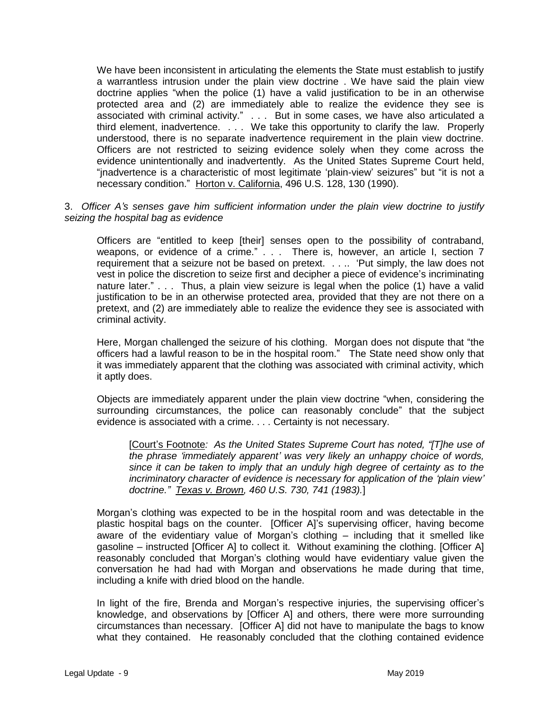We have been inconsistent in articulating the elements the State must establish to justify a warrantless intrusion under the plain view doctrine . We have said the plain view doctrine applies "when the police (1) have a valid justification to be in an otherwise protected area and (2) are immediately able to realize the evidence they see is associated with criminal activity." . . . But in some cases, we have also articulated a third element, inadvertence. . . . We take this opportunity to clarify the law. Properly understood, there is no separate inadvertence requirement in the plain view doctrine. Officers are not restricted to seizing evidence solely when they come across the evidence unintentionally and inadvertently. As the United States Supreme Court held, "jnadvertence is a characteristic of most legitimate 'plain-view' seizures" but "it is not a necessary condition." Horton v. California, 496 U.S. 128, 130 (1990).

### 3. *Officer A's senses gave him sufficient information under the plain view doctrine to justify seizing the hospital bag as evidence*

Officers are "entitled to keep [their] senses open to the possibility of contraband, weapons, or evidence of a crime." . . . There is, however, an article I, section 7 requirement that a seizure not be based on pretext. . . .. 'Put simply, the law does not vest in police the discretion to seize first and decipher a piece of evidence's incriminating nature later." . . . Thus, a plain view seizure is legal when the police (1) have a valid justification to be in an otherwise protected area, provided that they are not there on a pretext, and (2) are immediately able to realize the evidence they see is associated with criminal activity.

Here, Morgan challenged the seizure of his clothing. Morgan does not dispute that "the officers had a lawful reason to be in the hospital room." The State need show only that it was immediately apparent that the clothing was associated with criminal activity, which it aptly does.

Objects are immediately apparent under the plain view doctrine "when, considering the surrounding circumstances, the police can reasonably conclude" that the subject evidence is associated with a crime. . . . Certainty is not necessary.

[Court's Footnote*: As the United States Supreme Court has noted, "[T]he use of the phrase 'immediately apparent' was very likely an unhappy choice of words, since it can be taken to imply that an unduly high degree of certainty as to the incriminatory character of evidence is necessary for application of the 'plain view' doctrine." Texas v. Brown, 460 U.S. 730, 741 (1983).*]

Morgan's clothing was expected to be in the hospital room and was detectable in the plastic hospital bags on the counter. [Officer A]'s supervising officer, having become aware of the evidentiary value of Morgan's clothing – including that it smelled like gasoline – instructed [Officer A] to collect it. Without examining the clothing. [Officer A] reasonably concluded that Morgan's clothing would have evidentiary value given the conversation he had had with Morgan and observations he made during that time, including a knife with dried blood on the handle.

In light of the fire, Brenda and Morgan's respective injuries, the supervising officer's knowledge, and observations by [Officer A] and others, there were more surrounding circumstances than necessary. [Officer A] did not have to manipulate the bags to know what they contained. He reasonably concluded that the clothing contained evidence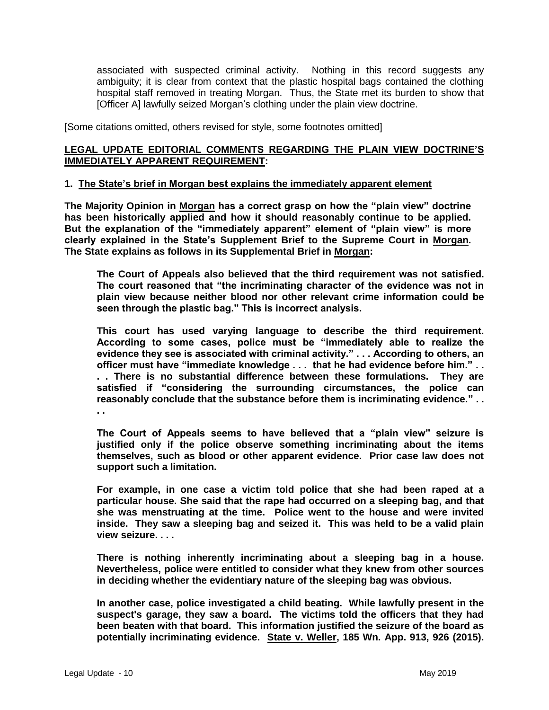associated with suspected criminal activity. Nothing in this record suggests any ambiguity; it is clear from context that the plastic hospital bags contained the clothing hospital staff removed in treating Morgan. Thus, the State met its burden to show that [Officer A] lawfully seized Morgan's clothing under the plain view doctrine.

[Some citations omitted, others revised for style, some footnotes omitted]

### **LEGAL UPDATE EDITORIAL COMMENTS REGARDING THE PLAIN VIEW DOCTRINE'S IMMEDIATELY APPARENT REQUIREMENT:**

### **1. The State's brief in Morgan best explains the immediately apparent element**

**The Majority Opinion in Morgan has a correct grasp on how the "plain view" doctrine has been historically applied and how it should reasonably continue to be applied. But the explanation of the "immediately apparent" element of "plain view" is more clearly explained in the State's Supplement Brief to the Supreme Court in Morgan. The State explains as follows in its Supplemental Brief in Morgan:**

**The Court of Appeals also believed that the third requirement was not satisfied. The court reasoned that "the incriminating character of the evidence was not in plain view because neither blood nor other relevant crime information could be seen through the plastic bag." This is incorrect analysis.**

**This court has used varying language to describe the third requirement. According to some cases, police must be "immediately able to realize the evidence they see is associated with criminal activity." . . . According to others, an officer must have "immediate knowledge . . . that he had evidence before him." . . . . There is no substantial difference between these formulations. They are satisfied if "considering the surrounding circumstances, the police can reasonably conclude that the substance before them is incriminating evidence." . . . .** 

**The Court of Appeals seems to have believed that a "plain view" seizure is justified only if the police observe something incriminating about the items themselves, such as blood or other apparent evidence. Prior case law does not support such a limitation.**

**For example, in one case a victim told police that she had been raped at a particular house. She said that the rape had occurred on a sleeping bag, and that she was menstruating at the time. Police went to the house and were invited inside. They saw a sleeping bag and seized it. This was held to be a valid plain view seizure. . . .** 

**There is nothing inherently incriminating about a sleeping bag in a house. Nevertheless, police were entitled to consider what they knew from other sources in deciding whether the evidentiary nature of the sleeping bag was obvious.** 

**In another case, police investigated a child beating. While lawfully present in the suspect's garage, they saw a board. The victims told the officers that they had been beaten with that board. This information justified the seizure of the board as potentially incriminating evidence. State v. Weller, 185 Wn. App. 913, 926 (2015).**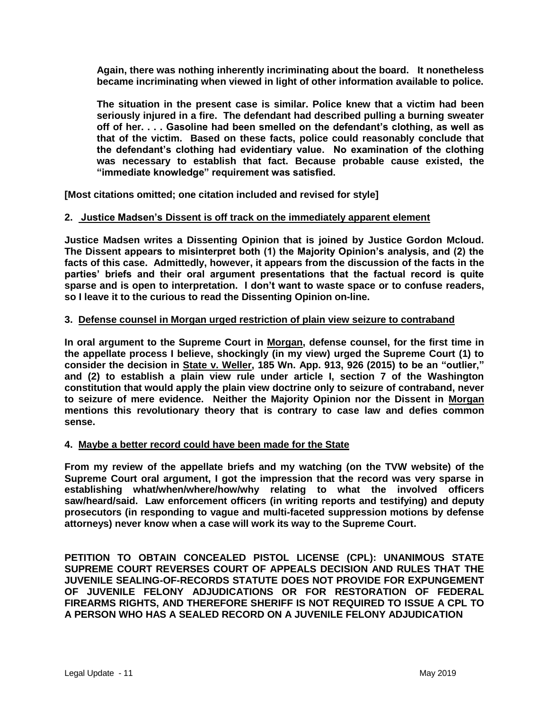**Again, there was nothing inherently incriminating about the board. It nonetheless became incriminating when viewed in light of other information available to police.** 

**The situation in the present case is similar. Police knew that a victim had been seriously injured in a fire. The defendant had described pulling a burning sweater off of her. . . . Gasoline had been smelled on the defendant's clothing, as well as that of the victim. Based on these facts, police could reasonably conclude that the defendant's clothing had evidentiary value. No examination of the clothing was necessary to establish that fact. Because probable cause existed, the "immediate knowledge" requirement was satisfied.** 

**[Most citations omitted; one citation included and revised for style]**

### **2. Justice Madsen's Dissent is off track on the immediately apparent element**

**Justice Madsen writes a Dissenting Opinion that is joined by Justice Gordon Mcloud. The Dissent appears to misinterpret both (1) the Majority Opinion's analysis, and (2) the facts of this case. Admittedly, however, it appears from the discussion of the facts in the parties' briefs and their oral argument presentations that the factual record is quite sparse and is open to interpretation. I don't want to waste space or to confuse readers, so I leave it to the curious to read the Dissenting Opinion on-line.**

### **3. Defense counsel in Morgan urged restriction of plain view seizure to contraband**

**In oral argument to the Supreme Court in Morgan, defense counsel, for the first time in the appellate process I believe, shockingly (in my view) urged the Supreme Court (1) to consider the decision in State v. Weller, 185 Wn. App. 913, 926 (2015) to be an "outlier," and (2) to establish a plain view rule under article I, section 7 of the Washington constitution that would apply the plain view doctrine only to seizure of contraband, never to seizure of mere evidence. Neither the Majority Opinion nor the Dissent in Morgan mentions this revolutionary theory that is contrary to case law and defies common sense.** 

### **4. Maybe a better record could have been made for the State**

**From my review of the appellate briefs and my watching (on the TVW website) of the Supreme Court oral argument, I got the impression that the record was very sparse in establishing what/when/where/how/why relating to what the involved officers saw/heard/said. Law enforcement officers (in writing reports and testifying) and deputy prosecutors (in responding to vague and multi-faceted suppression motions by defense attorneys) never know when a case will work its way to the Supreme Court.** 

**PETITION TO OBTAIN CONCEALED PISTOL LICENSE (CPL): UNANIMOUS STATE SUPREME COURT REVERSES COURT OF APPEALS DECISION AND RULES THAT THE JUVENILE SEALING-OF-RECORDS STATUTE DOES NOT PROVIDE FOR EXPUNGEMENT OF JUVENILE FELONY ADJUDICATIONS OR FOR RESTORATION OF FEDERAL FIREARMS RIGHTS, AND THEREFORE SHERIFF IS NOT REQUIRED TO ISSUE A CPL TO A PERSON WHO HAS A SEALED RECORD ON A JUVENILE FELONY ADJUDICATION**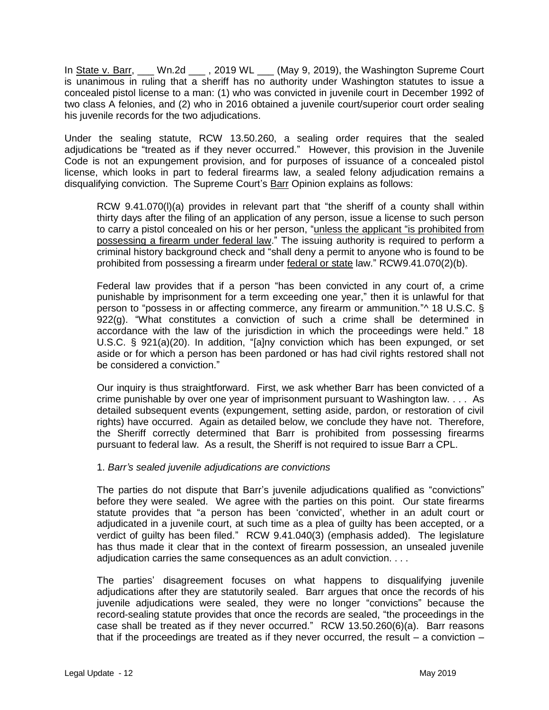In State v. Barr, \_\_\_ Wn.2d \_\_\_, 2019 WL \_\_\_ (May 9, 2019), the Washington Supreme Court is unanimous in ruling that a sheriff has no authority under Washington statutes to issue a concealed pistol license to a man: (1) who was convicted in juvenile court in December 1992 of two class A felonies, and (2) who in 2016 obtained a juvenile court/superior court order sealing his juvenile records for the two adjudications.

Under the sealing statute, RCW 13.50.260, a sealing order requires that the sealed adjudications be "treated as if they never occurred." However, this provision in the Juvenile Code is not an expungement provision, and for purposes of issuance of a concealed pistol license, which looks in part to federal firearms law, a sealed felony adjudication remains a disqualifying conviction. The Supreme Court's Barr Opinion explains as follows:

RCW 9.41.070(l)(a) provides in relevant part that "the sheriff of a county shall within thirty days after the filing of an application of any person, issue a license to such person to carry a pistol concealed on his or her person, "unless the applicant "is prohibited from possessing a firearm under federal law." The issuing authority is required to perform a criminal history background check and "shall deny a permit to anyone who is found to be prohibited from possessing a firearm under federal or state law." RCW9.41.070(2)(b).

Federal law provides that if a person "has been convicted in any court of, a crime punishable by imprisonment for a term exceeding one year," then it is unlawful for that person to "possess in or affecting commerce, any firearm or ammunition."^ 18 U.S.C. §  $922(g)$ . "What constitutes a conviction of such a crime shall be determined in accordance with the law of the jurisdiction in which the proceedings were held." 18 U.S.C. § 921(a)(20). In addition, "[a]ny conviction which has been expunged, or set aside or for which a person has been pardoned or has had civil rights restored shall not be considered a conviction."

Our inquiry is thus straightforward. First, we ask whether Barr has been convicted of a crime punishable by over one year of imprisonment pursuant to Washington law. . . . As detailed subsequent events (expungement, setting aside, pardon, or restoration of civil rights) have occurred. Again as detailed below, we conclude they have not. Therefore, the Sheriff correctly determined that Barr is prohibited from possessing firearms pursuant to federal law. As a result, the Sheriff is not required to issue Barr a CPL.

# 1. *Barr's sealed juvenile adjudications are convictions*

The parties do not dispute that Barr's juvenile adjudications qualified as "convictions" before they were sealed. We agree with the parties on this point. Our state firearms statute provides that "a person has been 'convicted', whether in an adult court or adjudicated in a juvenile court, at such time as a plea of guilty has been accepted, or a verdict of guilty has been filed." RCW 9.41.040(3) (emphasis added). The legislature has thus made it clear that in the context of firearm possession, an unsealed juvenile adjudication carries the same consequences as an adult conviction. . . .

The parties' disagreement focuses on what happens to disqualifying juvenile adjudications after they are statutorily sealed. Barr argues that once the records of his juvenile adjudications were sealed, they were no longer "convictions" because the record-sealing statute provides that once the records are sealed, "the proceedings in the case shall be treated as if they never occurred." RCW 13.50.260(6)(a). Barr reasons that if the proceedings are treated as if they never occurred, the result  $-$  a conviction  $-$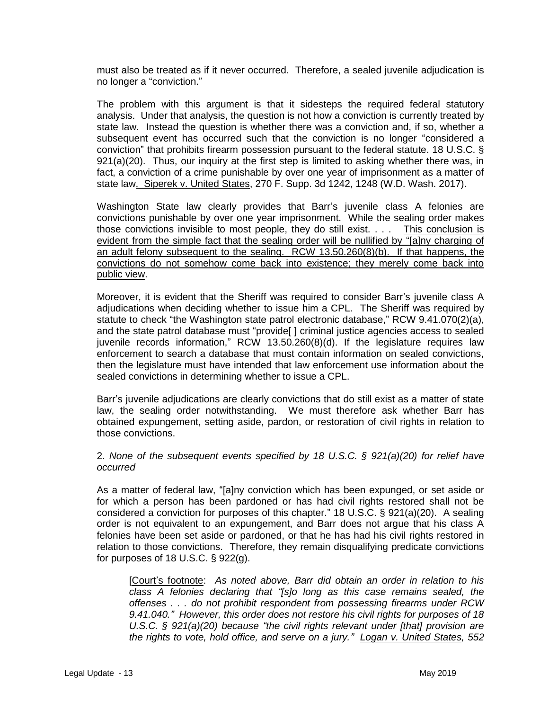must also be treated as if it never occurred. Therefore, a sealed juvenile adjudication is no longer a "conviction."

The problem with this argument is that it sidesteps the required federal statutory analysis. Under that analysis, the question is not how a conviction is currently treated by state law. Instead the question is whether there was a conviction and, if so, whether a subsequent event has occurred such that the conviction is no longer "considered a conviction" that prohibits firearm possession pursuant to the federal statute. 18 U.S.C. § 921(a)(20). Thus, our inquiry at the first step is limited to asking whether there was, in fact, a conviction of a crime punishable by over one year of imprisonment as a matter of state law. Siperek v. United States, 270 F. Supp. 3d 1242, 1248 (W.D. Wash. 2017).

Washington State law clearly provides that Barr's juvenile class A felonies are convictions punishable by over one year imprisonment. While the sealing order makes those convictions invisible to most people, they do still exist. . . . This conclusion is evident from the simple fact that the sealing order will be nullified by "[a]ny charging of an adult felony subsequent to the sealing. RCW 13.50.260(8)(b). If that happens, the convictions do not somehow come back into existence; they merely come back into public view.

Moreover, it is evident that the Sheriff was required to consider Barr's juvenile class A adjudications when deciding whether to issue him a CPL. The Sheriff was required by statute to check "the Washington state patrol electronic database," RCW 9.41.070(2)(a), and the state patrol database must "provide[ ] criminal justice agencies access to sealed juvenile records information," RCW 13.50.260(8)(d). If the legislature requires law enforcement to search a database that must contain information on sealed convictions, then the legislature must have intended that law enforcement use information about the sealed convictions in determining whether to issue a CPL.

Barr's juvenile adjudications are clearly convictions that do still exist as a matter of state law, the sealing order notwithstanding. We must therefore ask whether Barr has obtained expungement, setting aside, pardon, or restoration of civil rights in relation to those convictions.

2. *None of the subsequent events specified by 18 U.S.C. § 921(a)(20) for relief have occurred* 

As a matter of federal law, "[a]ny conviction which has been expunged, or set aside or for which a person has been pardoned or has had civil rights restored shall not be considered a conviction for purposes of this chapter." 18 U.S.C. § 921(a)(20). A sealing order is not equivalent to an expungement, and Barr does not argue that his class A felonies have been set aside or pardoned, or that he has had his civil rights restored in relation to those convictions. Therefore, they remain disqualifying predicate convictions for purposes of  $18$  U.S.C. § 922(g).

[Court's footnote: *As noted above, Barr did obtain an order in relation to his class A felonies declaring that "[s]o long as this case remains sealed, the offenses . . . do not prohibit respondent from possessing firearms under RCW 9.41.040." However, this order does not restore his civil rights for purposes of 18 U.S.C. § 921(a)(20) because "the civil rights relevant under [that] provision are the rights to vote, hold office, and serve on a jury." Logan v. United States, 552*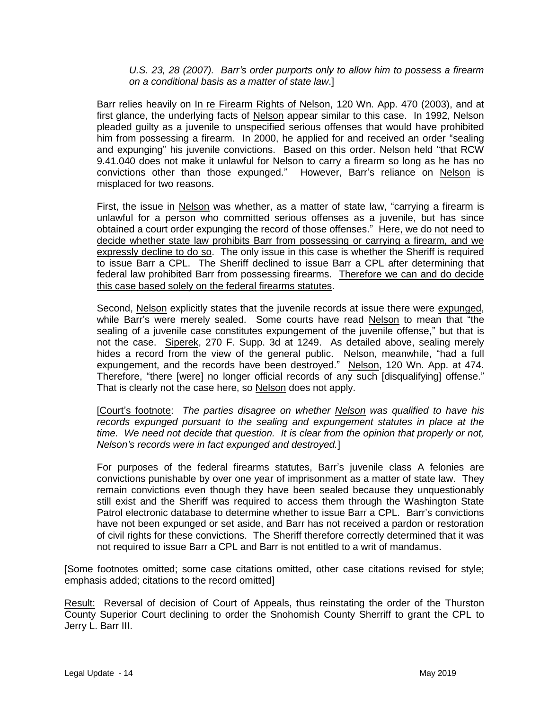### *U.S. 23, 28 (2007). Barr's order purports only to allow him to possess a firearm on a conditional basis as a matter of state law*.]

Barr relies heavily on In re Firearm Rights of Nelson, 120 Wn. App. 470 (2003), and at first glance, the underlying facts of Nelson appear similar to this case. In 1992, Nelson pleaded guilty as a juvenile to unspecified serious offenses that would have prohibited him from possessing a firearm. In 2000, he applied for and received an order "sealing and expunging" his juvenile convictions. Based on this order. Nelson held "that RCW 9.41.040 does not make it unlawful for Nelson to carry a firearm so long as he has no convictions other than those expunged." However, Barr's reliance on Nelson is misplaced for two reasons.

First, the issue in Nelson was whether, as a matter of state law, "carrying a firearm is unlawful for a person who committed serious offenses as a juvenile, but has since obtained a court order expunging the record of those offenses." Here, we do not need to decide whether state law prohibits Barr from possessing or carrying a firearm, and we expressly decline to do so. The only issue in this case is whether the Sheriff is required to issue Barr a CPL. The Sheriff declined to issue Barr a CPL after determining that federal law prohibited Barr from possessing firearms. Therefore we can and do decide this case based solely on the federal firearms statutes.

Second, Nelson explicitly states that the juvenile records at issue there were expunged, while Barr's were merely sealed. Some courts have read Nelson to mean that "the sealing of a juvenile case constitutes expungement of the juvenile offense," but that is not the case. Siperek, 270 F. Supp. 3d at 1249. As detailed above, sealing merely hides a record from the view of the general public. Nelson, meanwhile, "had a full expungement, and the records have been destroyed." Nelson, 120 Wn. App. at 474. Therefore, "there [were] no longer official records of any such [disqualifying] offense." That is clearly not the case here, so Nelson does not apply.

[Court's footnote: *The parties disagree on whether Nelson was qualified to have his records expunged pursuant to the sealing and expungement statutes in place at the time. We need not decide that question. It is clear from the opinion that properly or not, Nelson's records were in fact expunged and destroyed.*]

For purposes of the federal firearms statutes, Barr's juvenile class A felonies are convictions punishable by over one year of imprisonment as a matter of state law. They remain convictions even though they have been sealed because they unquestionably still exist and the Sheriff was required to access them through the Washington State Patrol electronic database to determine whether to issue Barr a CPL. Barr's convictions have not been expunged or set aside, and Barr has not received a pardon or restoration of civil rights for these convictions. The Sheriff therefore correctly determined that it was not required to issue Barr a CPL and Barr is not entitled to a writ of mandamus.

[Some footnotes omitted; some case citations omitted, other case citations revised for style; emphasis added; citations to the record omitted]

Result: Reversal of decision of Court of Appeals, thus reinstating the order of the Thurston County Superior Court declining to order the Snohomish County Sherriff to grant the CPL to Jerry L. Barr III.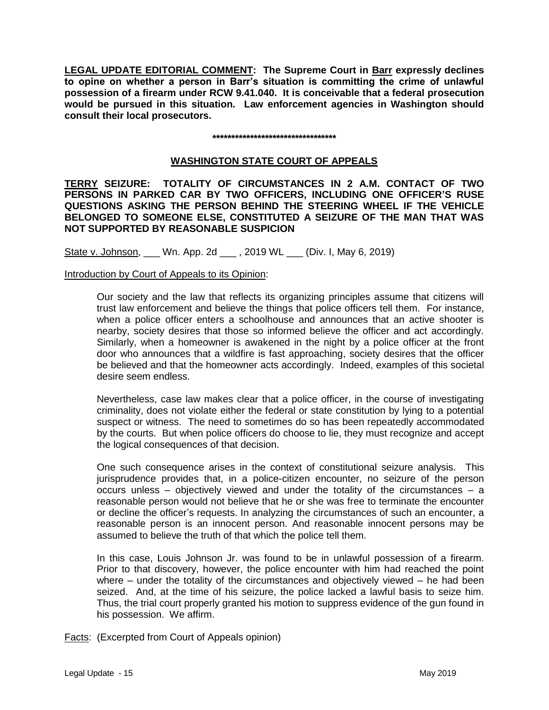**LEGAL UPDATE EDITORIAL COMMENT: The Supreme Court in Barr expressly declines to opine on whether a person in Barr's situation is committing the crime of unlawful possession of a firearm under RCW 9.41.040. It is conceivable that a federal prosecution would be pursued in this situation. Law enforcement agencies in Washington should consult their local prosecutors.** 

#### **\*\*\*\*\*\*\*\*\*\*\*\*\*\*\*\*\*\*\*\*\*\*\*\*\*\*\*\*\*\*\*\*\***

## **WASHINGTON STATE COURT OF APPEALS**

**TERRY SEIZURE: TOTALITY OF CIRCUMSTANCES IN 2 A.M. CONTACT OF TWO PERSONS IN PARKED CAR BY TWO OFFICERS, INCLUDING ONE OFFICER'S RUSE QUESTIONS ASKING THE PERSON BEHIND THE STEERING WHEEL IF THE VEHICLE BELONGED TO SOMEONE ELSE, CONSTITUTED A SEIZURE OF THE MAN THAT WAS NOT SUPPORTED BY REASONABLE SUSPICION**

State v. Johnson, \_\_\_ Wn. App. 2d \_\_\_ , 2019 WL \_\_\_ (Div. I, May 6, 2019)

### Introduction by Court of Appeals to its Opinion:

Our society and the law that reflects its organizing principles assume that citizens will trust law enforcement and believe the things that police officers tell them. For instance, when a police officer enters a schoolhouse and announces that an active shooter is nearby, society desires that those so informed believe the officer and act accordingly. Similarly, when a homeowner is awakened in the night by a police officer at the front door who announces that a wildfire is fast approaching, society desires that the officer be believed and that the homeowner acts accordingly. Indeed, examples of this societal desire seem endless.

Nevertheless, case law makes clear that a police officer, in the course of investigating criminality, does not violate either the federal or state constitution by lying to a potential suspect or witness. The need to sometimes do so has been repeatedly accommodated by the courts. But when police officers do choose to lie, they must recognize and accept the logical consequences of that decision.

One such consequence arises in the context of constitutional seizure analysis. This jurisprudence provides that, in a police-citizen encounter, no seizure of the person occurs unless – objectively viewed and under the totality of the circumstances – a reasonable person would not believe that he or she was free to terminate the encounter or decline the officer's requests. In analyzing the circumstances of such an encounter, a reasonable person is an innocent person. And reasonable innocent persons may be assumed to believe the truth of that which the police tell them.

In this case, Louis Johnson Jr. was found to be in unlawful possession of a firearm. Prior to that discovery, however, the police encounter with him had reached the point where – under the totality of the circumstances and objectively viewed – he had been seized. And, at the time of his seizure, the police lacked a lawful basis to seize him. Thus, the trial court properly granted his motion to suppress evidence of the gun found in his possession. We affirm.

Facts: (Excerpted from Court of Appeals opinion)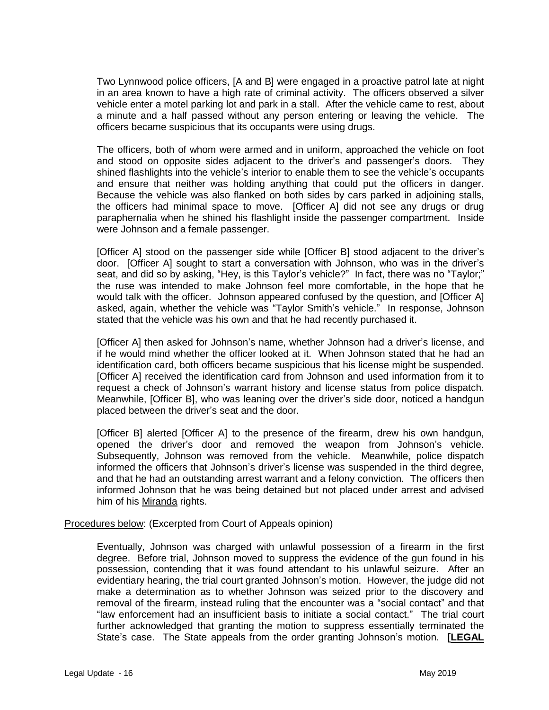Two Lynnwood police officers, [A and B] were engaged in a proactive patrol late at night in an area known to have a high rate of criminal activity. The officers observed a silver vehicle enter a motel parking lot and park in a stall. After the vehicle came to rest, about a minute and a half passed without any person entering or leaving the vehicle. The officers became suspicious that its occupants were using drugs.

The officers, both of whom were armed and in uniform, approached the vehicle on foot and stood on opposite sides adjacent to the driver's and passenger's doors. They shined flashlights into the vehicle's interior to enable them to see the vehicle's occupants and ensure that neither was holding anything that could put the officers in danger. Because the vehicle was also flanked on both sides by cars parked in adjoining stalls, the officers had minimal space to move. [Officer A] did not see any drugs or drug paraphernalia when he shined his flashlight inside the passenger compartment. Inside were Johnson and a female passenger.

[Officer A] stood on the passenger side while [Officer B] stood adjacent to the driver's door. [Officer A] sought to start a conversation with Johnson, who was in the driver's seat, and did so by asking, "Hey, is this Taylor's vehicle?" In fact, there was no "Taylor;" the ruse was intended to make Johnson feel more comfortable, in the hope that he would talk with the officer. Johnson appeared confused by the question, and [Officer A] asked, again, whether the vehicle was "Taylor Smith's vehicle." In response, Johnson stated that the vehicle was his own and that he had recently purchased it.

[Officer A] then asked for Johnson's name, whether Johnson had a driver's license, and if he would mind whether the officer looked at it. When Johnson stated that he had an identification card, both officers became suspicious that his license might be suspended. [Officer A] received the identification card from Johnson and used information from it to request a check of Johnson's warrant history and license status from police dispatch. Meanwhile, [Officer B], who was leaning over the driver's side door, noticed a handgun placed between the driver's seat and the door.

[Officer B] alerted [Officer A] to the presence of the firearm, drew his own handgun, opened the driver's door and removed the weapon from Johnson's vehicle. Subsequently, Johnson was removed from the vehicle. Meanwhile, police dispatch informed the officers that Johnson's driver's license was suspended in the third degree, and that he had an outstanding arrest warrant and a felony conviction. The officers then informed Johnson that he was being detained but not placed under arrest and advised him of his Miranda rights.

### Procedures below: (Excerpted from Court of Appeals opinion)

Eventually, Johnson was charged with unlawful possession of a firearm in the first degree. Before trial, Johnson moved to suppress the evidence of the gun found in his possession, contending that it was found attendant to his unlawful seizure. After an evidentiary hearing, the trial court granted Johnson's motion. However, the judge did not make a determination as to whether Johnson was seized prior to the discovery and removal of the firearm, instead ruling that the encounter was a "social contact" and that "law enforcement had an insufficient basis to initiate a social contact." The trial court further acknowledged that granting the motion to suppress essentially terminated the State's case. The State appeals from the order granting Johnson's motion. **[LEGAL**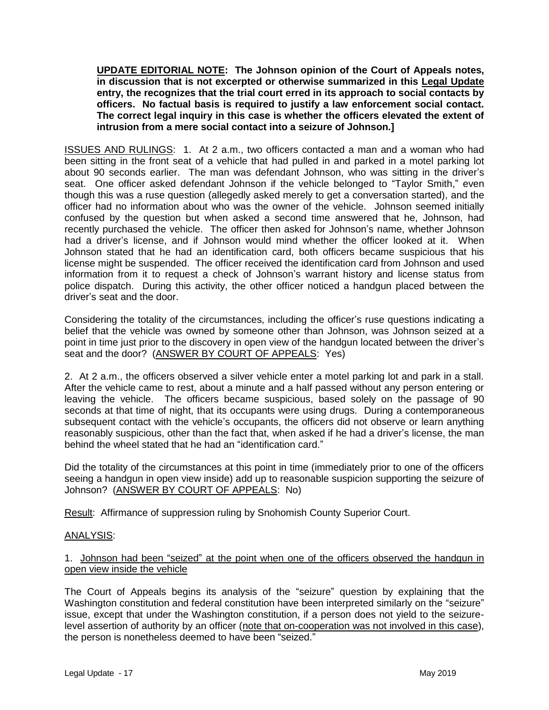**UPDATE EDITORIAL NOTE: The Johnson opinion of the Court of Appeals notes, in discussion that is not excerpted or otherwise summarized in this Legal Update entry, the recognizes that the trial court erred in its approach to social contacts by officers. No factual basis is required to justify a law enforcement social contact. The correct legal inquiry in this case is whether the officers elevated the extent of intrusion from a mere social contact into a seizure of Johnson.]** 

ISSUES AND RULINGS: 1. At 2 a.m., two officers contacted a man and a woman who had been sitting in the front seat of a vehicle that had pulled in and parked in a motel parking lot about 90 seconds earlier. The man was defendant Johnson, who was sitting in the driver's seat. One officer asked defendant Johnson if the vehicle belonged to "Taylor Smith," even though this was a ruse question (allegedly asked merely to get a conversation started), and the officer had no information about who was the owner of the vehicle. Johnson seemed initially confused by the question but when asked a second time answered that he, Johnson, had recently purchased the vehicle. The officer then asked for Johnson's name, whether Johnson had a driver's license, and if Johnson would mind whether the officer looked at it. When Johnson stated that he had an identification card, both officers became suspicious that his license might be suspended. The officer received the identification card from Johnson and used information from it to request a check of Johnson's warrant history and license status from police dispatch. During this activity, the other officer noticed a handgun placed between the driver's seat and the door.

Considering the totality of the circumstances, including the officer's ruse questions indicating a belief that the vehicle was owned by someone other than Johnson, was Johnson seized at a point in time just prior to the discovery in open view of the handgun located between the driver's seat and the door? (ANSWER BY COURT OF APPEALS: Yes)

2. At 2 a.m., the officers observed a silver vehicle enter a motel parking lot and park in a stall. After the vehicle came to rest, about a minute and a half passed without any person entering or leaving the vehicle. The officers became suspicious, based solely on the passage of 90 seconds at that time of night, that its occupants were using drugs. During a contemporaneous subsequent contact with the vehicle's occupants, the officers did not observe or learn anything reasonably suspicious, other than the fact that, when asked if he had a driver's license, the man behind the wheel stated that he had an "identification card."

Did the totality of the circumstances at this point in time (immediately prior to one of the officers seeing a handgun in open view inside) add up to reasonable suspicion supporting the seizure of Johnson? (ANSWER BY COURT OF APPEALS: No)

Result: Affirmance of suppression ruling by Snohomish County Superior Court.

# ANALYSIS:

# 1. Johnson had been "seized" at the point when one of the officers observed the handgun in open view inside the vehicle

The Court of Appeals begins its analysis of the "seizure" question by explaining that the Washington constitution and federal constitution have been interpreted similarly on the "seizure" issue, except that under the Washington constitution, if a person does not yield to the seizurelevel assertion of authority by an officer (note that on-cooperation was not involved in this case), the person is nonetheless deemed to have been "seized."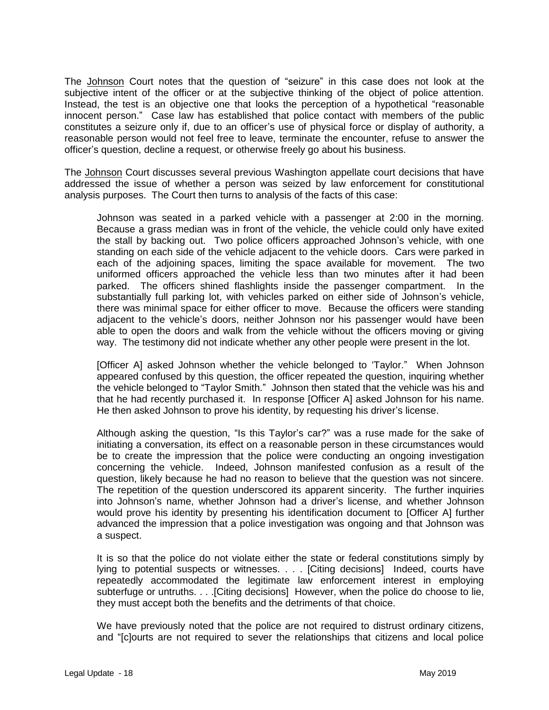The Johnson Court notes that the question of "seizure" in this case does not look at the subjective intent of the officer or at the subjective thinking of the object of police attention. Instead, the test is an objective one that looks the perception of a hypothetical "reasonable innocent person." Case law has established that police contact with members of the public constitutes a seizure only if, due to an officer's use of physical force or display of authority, a reasonable person would not feel free to leave, terminate the encounter, refuse to answer the officer's question, decline a request, or otherwise freely go about his business.

The Johnson Court discusses several previous Washington appellate court decisions that have addressed the issue of whether a person was seized by law enforcement for constitutional analysis purposes. The Court then turns to analysis of the facts of this case:

Johnson was seated in a parked vehicle with a passenger at 2:00 in the morning. Because a grass median was in front of the vehicle, the vehicle could only have exited the stall by backing out. Two police officers approached Johnson's vehicle, with one standing on each side of the vehicle adjacent to the vehicle doors. Cars were parked in each of the adjoining spaces, limiting the space available for movement. The two uniformed officers approached the vehicle less than two minutes after it had been parked. The officers shined flashlights inside the passenger compartment. In the substantially full parking lot, with vehicles parked on either side of Johnson's vehicle, there was minimal space for either officer to move. Because the officers were standing adjacent to the vehicle's doors, neither Johnson nor his passenger would have been able to open the doors and walk from the vehicle without the officers moving or giving way. The testimony did not indicate whether any other people were present in the lot.

[Officer A] asked Johnson whether the vehicle belonged to 'Taylor." When Johnson appeared confused by this question, the officer repeated the question, inquiring whether the vehicle belonged to "Taylor Smith." Johnson then stated that the vehicle was his and that he had recently purchased it. In response [Officer A] asked Johnson for his name. He then asked Johnson to prove his identity, by requesting his driver's license.

Although asking the question, "Is this Taylor's car?" was a ruse made for the sake of initiating a conversation, its effect on a reasonable person in these circumstances would be to create the impression that the police were conducting an ongoing investigation concerning the vehicle. Indeed, Johnson manifested confusion as a result of the question, likely because he had no reason to believe that the question was not sincere. The repetition of the question underscored its apparent sincerity. The further inquiries into Johnson's name, whether Johnson had a driver's license, and whether Johnson would prove his identity by presenting his identification document to [Officer A] further advanced the impression that a police investigation was ongoing and that Johnson was a suspect.

It is so that the police do not violate either the state or federal constitutions simply by lying to potential suspects or witnesses. . . . [Citing decisions] Indeed, courts have repeatedly accommodated the legitimate law enforcement interest in employing subterfuge or untruths. . . .[Citing decisions] However, when the police do choose to lie, they must accept both the benefits and the detriments of that choice.

We have previously noted that the police are not required to distrust ordinary citizens, and "[c]ourts are not required to sever the relationships that citizens and local police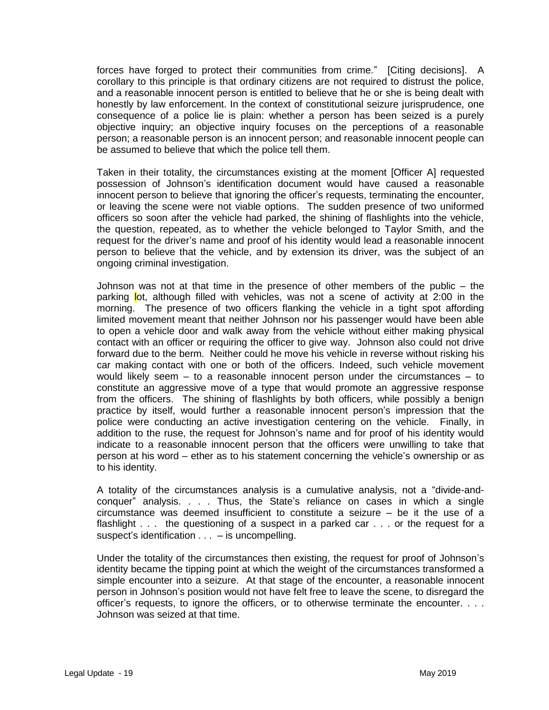forces have forged to protect their communities from crime." [Citing decisions]. A corollary to this principle is that ordinary citizens are not required to distrust the police, and a reasonable innocent person is entitled to believe that he or she is being dealt with honestly by law enforcement. In the context of constitutional seizure jurisprudence, one consequence of a police lie is plain: whether a person has been seized is a purely objective inquiry; an objective inquiry focuses on the perceptions of a reasonable person; a reasonable person is an innocent person; and reasonable innocent people can be assumed to believe that which the police tell them.

Taken in their totality, the circumstances existing at the moment [Officer A] requested possession of Johnson's identification document would have caused a reasonable innocent person to believe that ignoring the officer's requests, terminating the encounter, or leaving the scene were not viable options. The sudden presence of two uniformed officers so soon after the vehicle had parked, the shining of flashlights into the vehicle, the question, repeated, as to whether the vehicle belonged to Taylor Smith, and the request for the driver's name and proof of his identity would lead a reasonable innocent person to believe that the vehicle, and by extension its driver, was the subject of an ongoing criminal investigation.

Johnson was not at that time in the presence of other members of the public – the parking lot, although filled with vehicles, was not a scene of activity at 2:00 in the morning. The presence of two officers flanking the vehicle in a tight spot affording limited movement meant that neither Johnson nor his passenger would have been able to open a vehicle door and walk away from the vehicle without either making physical contact with an officer or requiring the officer to give way. Johnson also could not drive forward due to the berm. Neither could he move his vehicle in reverse without risking his car making contact with one or both of the officers. Indeed, such vehicle movement would likely seem – to a reasonable innocent person under the circumstances – to constitute an aggressive move of a type that would promote an aggressive response from the officers. The shining of flashlights by both officers, while possibly a benign practice by itself, would further a reasonable innocent person's impression that the police were conducting an active investigation centering on the vehicle. Finally, in addition to the ruse, the request for Johnson's name and for proof of his identity would indicate to a reasonable innocent person that the officers were unwilling to take that person at his word – ether as to his statement concerning the vehicle's ownership or as to his identity.

A totality of the circumstances analysis is a cumulative analysis, not a "divide-andconquer" analysis. . . . Thus, the State's reliance on cases in which a single circumstance was deemed insufficient to constitute a seizure – be it the use of a flashlight . . . the questioning of a suspect in a parked car . . . or the request for a suspect's identification  $\ldots$  – is uncompelling.

Under the totality of the circumstances then existing, the request for proof of Johnson's identity became the tipping point at which the weight of the circumstances transformed a simple encounter into a seizure. At that stage of the encounter, a reasonable innocent person in Johnson's position would not have felt free to leave the scene, to disregard the officer's requests, to ignore the officers, or to otherwise terminate the encounter. . . . Johnson was seized at that time.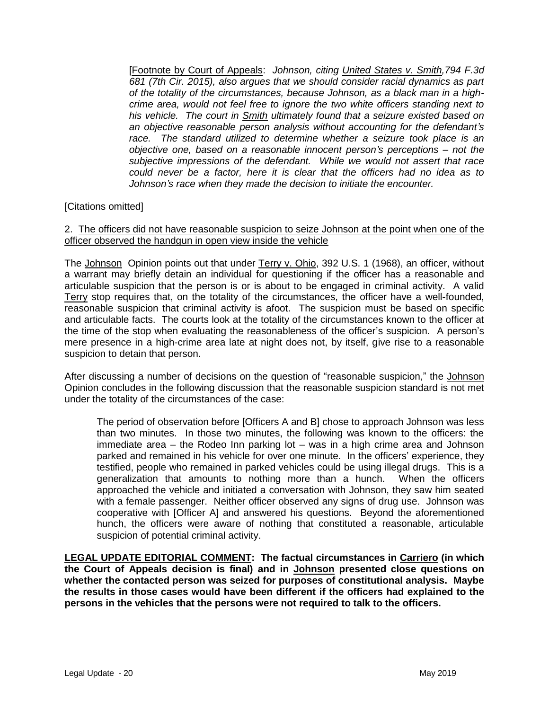[Footnote by Court of Appeals: *Johnson, citing United States v. Smith,794 F.3d 681 (7th Cir. 2015), also argues that we should consider racial dynamics as part of the totality of the circumstances, because Johnson, as a black man in a highcrime area, would not feel free to ignore the two white officers standing next to his vehicle. The court in Smith ultimately found that a seizure existed based on an objective reasonable person analysis without accounting for the defendant's race. The standard utilized to determine whether a seizure took place is an objective one, based on a reasonable innocent person's perceptions* – *not the subjective impressions of the defendant. While we would not assert that race could never be a factor, here it is clear that the officers had no idea as to Johnson's race when they made the decision to initiate the encounter.*

# [Citations omitted]

### 2. The officers did not have reasonable suspicion to seize Johnson at the point when one of the officer observed the handgun in open view inside the vehicle

The Johnson Opinion points out that under Terry v. Ohio, 392 U.S. 1 (1968), an officer, without a warrant may briefly detain an individual for questioning if the officer has a reasonable and articulable suspicion that the person is or is about to be engaged in criminal activity. A valid Terry stop requires that, on the totality of the circumstances, the officer have a well-founded, reasonable suspicion that criminal activity is afoot. The suspicion must be based on specific and articulable facts. The courts look at the totality of the circumstances known to the officer at the time of the stop when evaluating the reasonableness of the officer's suspicion. A person's mere presence in a high-crime area late at night does not, by itself, give rise to a reasonable suspicion to detain that person.

After discussing a number of decisions on the question of "reasonable suspicion," the Johnson Opinion concludes in the following discussion that the reasonable suspicion standard is not met under the totality of the circumstances of the case:

The period of observation before [Officers A and B] chose to approach Johnson was less than two minutes. In those two minutes, the following was known to the officers: the immediate area – the Rodeo Inn parking lot – was in a high crime area and Johnson parked and remained in his vehicle for over one minute. In the officers' experience, they testified, people who remained in parked vehicles could be using illegal drugs. This is a generalization that amounts to nothing more than a hunch. When the officers approached the vehicle and initiated a conversation with Johnson, they saw him seated with a female passenger. Neither officer observed any signs of drug use. Johnson was cooperative with [Officer A] and answered his questions. Beyond the aforementioned hunch, the officers were aware of nothing that constituted a reasonable, articulable suspicion of potential criminal activity.

**LEGAL UPDATE EDITORIAL COMMENT: The factual circumstances in Carriero (in which the Court of Appeals decision is final) and in Johnson presented close questions on whether the contacted person was seized for purposes of constitutional analysis. Maybe the results in those cases would have been different if the officers had explained to the persons in the vehicles that the persons were not required to talk to the officers.**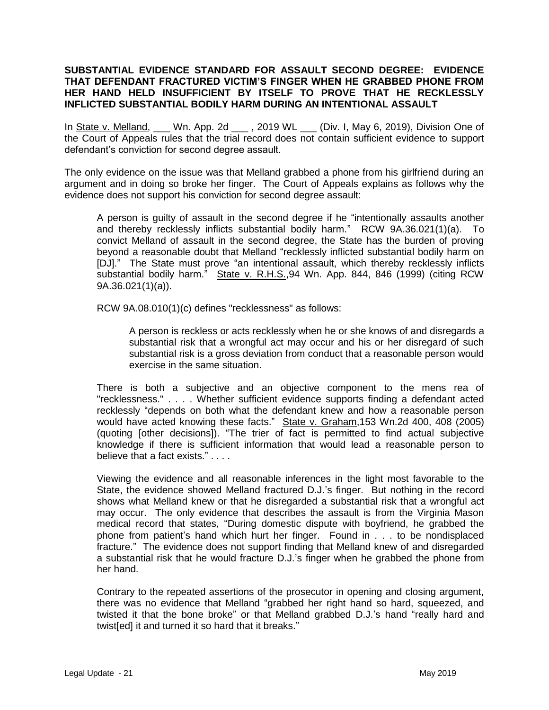## **SUBSTANTIAL EVIDENCE STANDARD FOR ASSAULT SECOND DEGREE: EVIDENCE THAT DEFENDANT FRACTURED VICTIM'S FINGER WHEN HE GRABBED PHONE FROM HER HAND HELD INSUFFICIENT BY ITSELF TO PROVE THAT HE RECKLESSLY INFLICTED SUBSTANTIAL BODILY HARM DURING AN INTENTIONAL ASSAULT**

In State v. Melland, \_\_\_ Wn. App. 2d \_\_\_ , 2019 WL \_\_\_ (Div. I, May 6, 2019), Division One of the Court of Appeals rules that the trial record does not contain sufficient evidence to support defendant's conviction for second degree assault.

The only evidence on the issue was that Melland grabbed a phone from his girlfriend during an argument and in doing so broke her finger. The Court of Appeals explains as follows why the evidence does not support his conviction for second degree assault:

A person is guilty of assault in the second degree if he "intentionally assaults another and thereby recklessly inflicts substantial bodily harm." RCW 9A.36.021(1)(a). To convict Melland of assault in the second degree, the State has the burden of proving beyond a reasonable doubt that Melland "recklessly inflicted substantial bodily harm on [DJ]." The State must prove "an intentional assault, which thereby recklessly inflicts substantial bodily harm." State v. R.H.S.,94 Wn. App. 844, 846 (1999) (citing RCW 9A.36.021(1)(a)).

RCW 9A.08.010(1)(c) defines "recklessness" as follows:

A person is reckless or acts recklessly when he or she knows of and disregards a substantial risk that a wrongful act may occur and his or her disregard of such substantial risk is a gross deviation from conduct that a reasonable person would exercise in the same situation.

There is both a subjective and an objective component to the mens rea of "recklessness." . . . . Whether sufficient evidence supports finding a defendant acted recklessly "depends on both what the defendant knew and how a reasonable person would have acted knowing these facts." State v. Graham,153 Wn.2d 400, 408 (2005) (quoting [other decisions]). "The trier of fact is permitted to find actual subjective knowledge if there is sufficient information that would lead a reasonable person to believe that a fact exists." . . . .

Viewing the evidence and all reasonable inferences in the light most favorable to the State, the evidence showed Melland fractured D.J.'s finger. But nothing in the record shows what Melland knew or that he disregarded a substantial risk that a wrongful act may occur. The only evidence that describes the assault is from the Virginia Mason medical record that states, "During domestic dispute with boyfriend, he grabbed the phone from patient's hand which hurt her finger. Found in . . . to be nondisplaced fracture." The evidence does not support finding that Melland knew of and disregarded a substantial risk that he would fracture D.J.'s finger when he grabbed the phone from her hand.

Contrary to the repeated assertions of the prosecutor in opening and closing argument, there was no evidence that Melland "grabbed her right hand so hard, squeezed, and twisted it that the bone broke" or that Melland grabbed D.J.'s hand "really hard and twist[ed] it and turned it so hard that it breaks."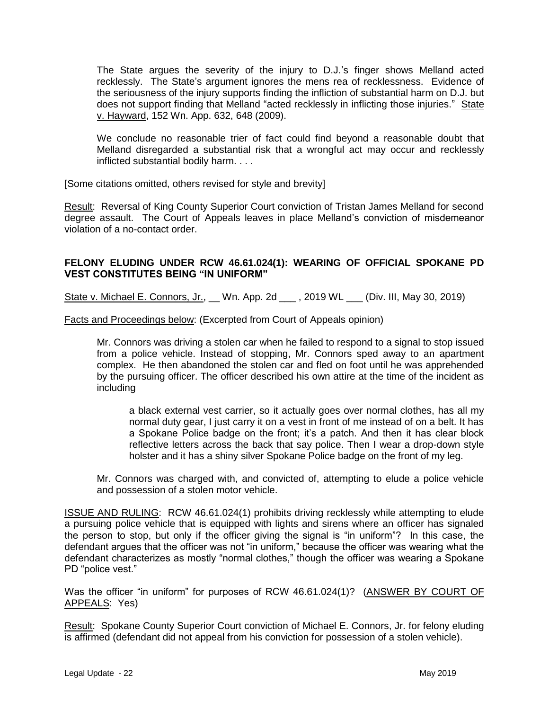The State argues the severity of the injury to D.J.'s finger shows Melland acted recklessly. The State's argument ignores the mens rea of recklessness. Evidence of the seriousness of the injury supports finding the infliction of substantial harm on D.J. but does not support finding that Melland "acted recklessly in inflicting those injuries." State v. Hayward, 152 Wn. App. 632, 648 (2009).

We conclude no reasonable trier of fact could find beyond a reasonable doubt that Melland disregarded a substantial risk that a wrongful act may occur and recklessly inflicted substantial bodily harm. . . .

[Some citations omitted, others revised for style and brevity]

Result: Reversal of King County Superior Court conviction of Tristan James Melland for second degree assault. The Court of Appeals leaves in place Melland's conviction of misdemeanor violation of a no-contact order.

# **FELONY ELUDING UNDER RCW 46.61.024(1): WEARING OF OFFICIAL SPOKANE PD VEST CONSTITUTES BEING "IN UNIFORM"**

State v. Michael E. Connors, Jr., Wn. App. 2d , 2019 WL (Div. III, May 30, 2019)

Facts and Proceedings below: (Excerpted from Court of Appeals opinion)

Mr. Connors was driving a stolen car when he failed to respond to a signal to stop issued from a police vehicle. Instead of stopping, Mr. Connors sped away to an apartment complex. He then abandoned the stolen car and fled on foot until he was apprehended by the pursuing officer. The officer described his own attire at the time of the incident as including

a black external vest carrier, so it actually goes over normal clothes, has all my normal duty gear, I just carry it on a vest in front of me instead of on a belt. It has a Spokane Police badge on the front; it's a patch. And then it has clear block reflective letters across the back that say police. Then I wear a drop-down style holster and it has a shiny silver Spokane Police badge on the front of my leg.

Mr. Connors was charged with, and convicted of, attempting to elude a police vehicle and possession of a stolen motor vehicle.

ISSUE AND RULING: RCW 46.61.024(1) prohibits driving recklessly while attempting to elude a pursuing police vehicle that is equipped with lights and sirens where an officer has signaled the person to stop, but only if the officer giving the signal is "in uniform"? In this case, the defendant argues that the officer was not "in uniform," because the officer was wearing what the defendant characterizes as mostly "normal clothes," though the officer was wearing a Spokane PD "police vest."

Was the officer "in uniform" for purposes of RCW 46.61.024(1)? (ANSWER BY COURT OF APPEALS: Yes)

Result: Spokane County Superior Court conviction of Michael E. Connors, Jr. for felony eluding is affirmed (defendant did not appeal from his conviction for possession of a stolen vehicle).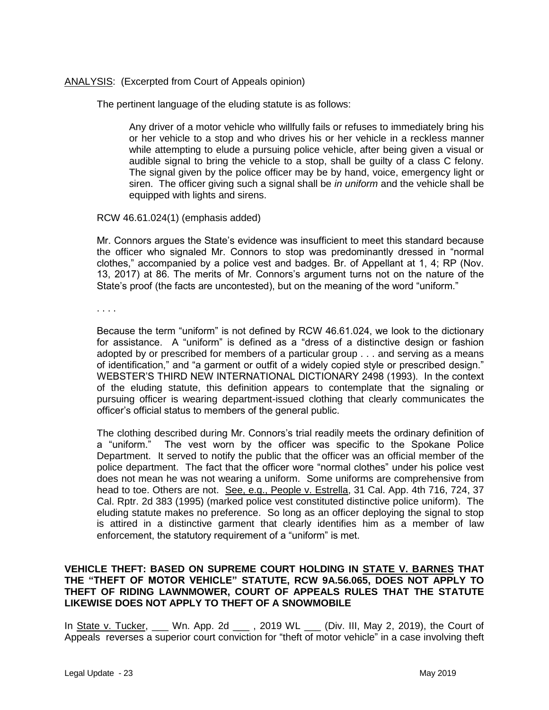## ANALYSIS: (Excerpted from Court of Appeals opinion)

The pertinent language of the eluding statute is as follows:

Any driver of a motor vehicle who willfully fails or refuses to immediately bring his or her vehicle to a stop and who drives his or her vehicle in a reckless manner while attempting to elude a pursuing police vehicle, after being given a visual or audible signal to bring the vehicle to a stop, shall be guilty of a class C felony. The signal given by the police officer may be by hand, voice, emergency light or siren. The officer giving such a signal shall be *in uniform* and the vehicle shall be equipped with lights and sirens.

### RCW 46.61.024(1) (emphasis added)

Mr. Connors argues the State's evidence was insufficient to meet this standard because the officer who signaled Mr. Connors to stop was predominantly dressed in "normal clothes," accompanied by a police vest and badges. Br. of Appellant at 1, 4; RP (Nov. 13, 2017) at 86. The merits of Mr. Connors's argument turns not on the nature of the State's proof (the facts are uncontested), but on the meaning of the word "uniform."

. . . .

Because the term "uniform" is not defined by RCW 46.61.024, we look to the dictionary for assistance. A "uniform" is defined as a "dress of a distinctive design or fashion adopted by or prescribed for members of a particular group . . . and serving as a means of identification," and "a garment or outfit of a widely copied style or prescribed design." WEBSTER'S THIRD NEW INTERNATIONAL DICTIONARY 2498 (1993). In the context of the eluding statute, this definition appears to contemplate that the signaling or pursuing officer is wearing department-issued clothing that clearly communicates the officer's official status to members of the general public.

The clothing described during Mr. Connors's trial readily meets the ordinary definition of a "uniform." The vest worn by the officer was specific to the Spokane Police Department. It served to notify the public that the officer was an official member of the police department. The fact that the officer wore "normal clothes" under his police vest does not mean he was not wearing a uniform. Some uniforms are comprehensive from head to toe. Others are not. See, e.g., People v. Estrella, 31 Cal. App. 4th 716, 724, 37 Cal. Rptr. 2d 383 (1995) (marked police vest constituted distinctive police uniform). The eluding statute makes no preference. So long as an officer deploying the signal to stop is attired in a distinctive garment that clearly identifies him as a member of law enforcement, the statutory requirement of a "uniform" is met.

### **VEHICLE THEFT: BASED ON SUPREME COURT HOLDING IN STATE V. BARNES THAT THE "THEFT OF MOTOR VEHICLE" STATUTE, RCW 9A.56.065, DOES NOT APPLY TO THEFT OF RIDING LAWNMOWER, COURT OF APPEALS RULES THAT THE STATUTE LIKEWISE DOES NOT APPLY TO THEFT OF A SNOWMOBILE**

In State v. Tucker, \_\_\_ Wn. App. 2d \_\_\_ , 2019 WL \_\_\_ (Div. III, May 2, 2019), the Court of Appeals reverses a superior court conviction for "theft of motor vehicle" in a case involving theft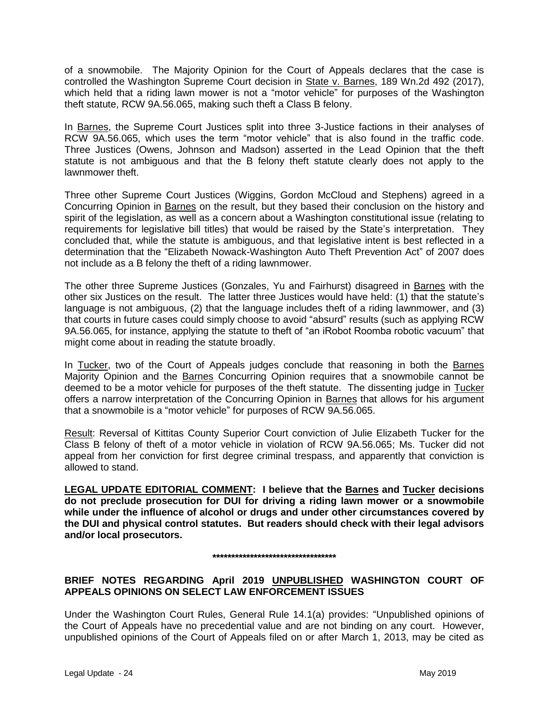of a snowmobile. The Majority Opinion for the Court of Appeals declares that the case is controlled the Washington Supreme Court decision in State v. Barnes, 189 Wn.2d 492 (2017), which held that a riding lawn mower is not a "motor vehicle" for purposes of the Washington theft statute, RCW 9A.56.065, making such theft a Class B felony.

In Barnes, the Supreme Court Justices split into three 3-Justice factions in their analyses of RCW 9A.56.065, which uses the term "motor vehicle" that is also found in the traffic code. Three Justices (Owens, Johnson and Madson) asserted in the Lead Opinion that the theft statute is not ambiguous and that the B felony theft statute clearly does not apply to the lawnmower theft.

Three other Supreme Court Justices (Wiggins, Gordon McCloud and Stephens) agreed in a Concurring Opinion in Barnes on the result, but they based their conclusion on the history and spirit of the legislation, as well as a concern about a Washington constitutional issue (relating to requirements for legislative bill titles) that would be raised by the State's interpretation. They concluded that, while the statute is ambiguous, and that legislative intent is best reflected in a determination that the "Elizabeth Nowack-Washington Auto Theft Prevention Act" of 2007 does not include as a B felony the theft of a riding lawnmower.

The other three Supreme Justices (Gonzales, Yu and Fairhurst) disagreed in Barnes with the other six Justices on the result. The latter three Justices would have held: (1) that the statute's language is not ambiguous, (2) that the language includes theft of a riding lawnmower, and (3) that courts in future cases could simply choose to avoid "absurd" results (such as applying RCW 9A.56.065, for instance, applying the statute to theft of "an iRobot Roomba robotic vacuum" that might come about in reading the statute broadly.

In Tucker, two of the Court of Appeals judges conclude that reasoning in both the Barnes Majority Opinion and the Barnes Concurring Opinion requires that a snowmobile cannot be deemed to be a motor vehicle for purposes of the theft statute. The dissenting judge in Tucker offers a narrow interpretation of the Concurring Opinion in Barnes that allows for his argument that a snowmobile is a "motor vehicle" for purposes of RCW 9A.56.065.

Result: Reversal of Kittitas County Superior Court conviction of Julie Elizabeth Tucker for the Class B felony of theft of a motor vehicle in violation of RCW 9A.56.065; Ms. Tucker did not appeal from her conviction for first degree criminal trespass, and apparently that conviction is allowed to stand.

**LEGAL UPDATE EDITORIAL COMMENT: I believe that the Barnes and Tucker decisions do not preclude prosecution for DUI for driving a riding lawn mower or a snowmobile while under the influence of alcohol or drugs and under other circumstances covered by the DUI and physical control statutes. But readers should check with their legal advisors and/or local prosecutors.** 

#### **\*\*\*\*\*\*\*\*\*\*\*\*\*\*\*\*\*\*\*\*\*\*\*\*\*\*\*\*\*\*\*\*\***

# **BRIEF NOTES REGARDING April 2019 UNPUBLISHED WASHINGTON COURT OF APPEALS OPINIONS ON SELECT LAW ENFORCEMENT ISSUES**

Under the Washington Court Rules, General Rule 14.1(a) provides: "Unpublished opinions of the Court of Appeals have no precedential value and are not binding on any court. However, unpublished opinions of the Court of Appeals filed on or after March 1, 2013, may be cited as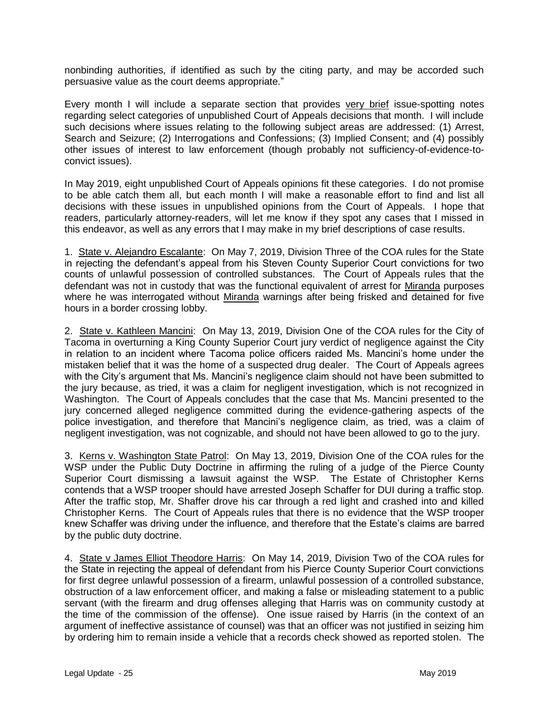nonbinding authorities, if identified as such by the citing party, and may be accorded such persuasive value as the court deems appropriate."

Every month I will include a separate section that provides very brief issue-spotting notes regarding select categories of unpublished Court of Appeals decisions that month. I will include such decisions where issues relating to the following subject areas are addressed: (1) Arrest, Search and Seizure; (2) Interrogations and Confessions; (3) Implied Consent; and (4) possibly other issues of interest to law enforcement (though probably not sufficiency-of-evidence-toconvict issues).

In May 2019, eight unpublished Court of Appeals opinions fit these categories. I do not promise to be able catch them all, but each month I will make a reasonable effort to find and list all decisions with these issues in unpublished opinions from the Court of Appeals. I hope that readers, particularly attorney-readers, will let me know if they spot any cases that I missed in this endeavor, as well as any errors that I may make in my brief descriptions of case results.

1. State v. Alejandro Escalante: On May 7, 2019, Division Three of the COA rules for the State in rejecting the defendant's appeal from his Steven County Superior Court convictions for two counts of unlawful possession of controlled substances. The Court of Appeals rules that the defendant was not in custody that was the functional equivalent of arrest for Miranda purposes where he was interrogated without Miranda warnings after being frisked and detained for five hours in a border crossing lobby.

2. State v. Kathleen Mancini: On May 13, 2019, Division One of the COA rules for the City of Tacoma in overturning a King County Superior Court jury verdict of negligence against the City in relation to an incident where Tacoma police officers raided Ms. Mancini's home under the mistaken belief that it was the home of a suspected drug dealer. The Court of Appeals agrees with the City's argument that Ms. Mancini's negligence claim should not have been submitted to the jury because, as tried, it was a claim for negligent investigation, which is not recognized in Washington. The Court of Appeals concludes that the case that Ms. Mancini presented to the jury concerned alleged negligence committed during the evidence-gathering aspects of the police investigation, and therefore that Mancini's negligence claim, as tried, was a claim of negligent investigation, was not cognizable, and should not have been allowed to go to the jury.

3. Kerns v. Washington State Patrol: On May 13, 2019, Division One of the COA rules for the WSP under the Public Duty Doctrine in affirming the ruling of a judge of the Pierce County Superior Court dismissing a lawsuit against the WSP. The Estate of Christopher Kerns contends that a WSP trooper should have arrested Joseph Schaffer for DUI during a traffic stop. After the traffic stop, Mr. Shaffer drove his car through a red light and crashed into and killed Christopher Kerns. The Court of Appeals rules that there is no evidence that the WSP trooper knew Schaffer was driving under the influence, and therefore that the Estate's claims are barred by the public duty doctrine.

4. State v James Elliot Theodore Harris: On May 14, 2019, Division Two of the COA rules for the State in rejecting the appeal of defendant from his Pierce County Superior Court convictions for first degree unlawful possession of a firearm, unlawful possession of a controlled substance, obstruction of a law enforcement officer, and making a false or misleading statement to a public servant (with the firearm and drug offenses alleging that Harris was on community custody at the time of the commission of the offense). One issue raised by Harris (in the context of an argument of ineffective assistance of counsel) was that an officer was not justified in seizing him by ordering him to remain inside a vehicle that a records check showed as reported stolen. The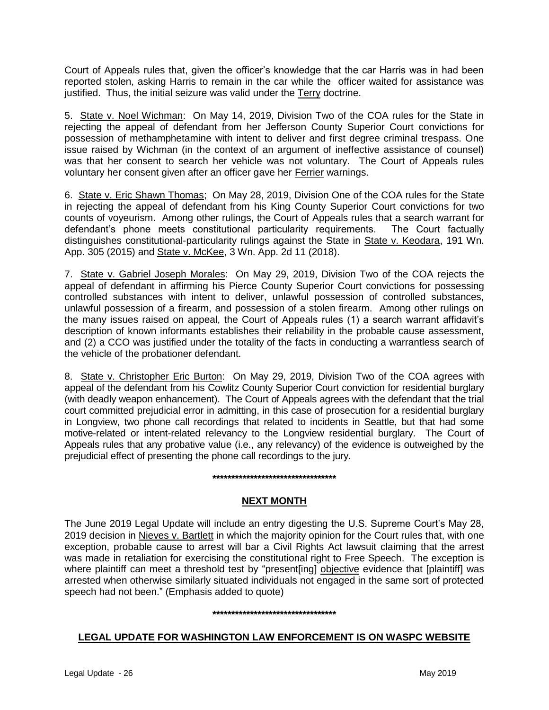Court of Appeals rules that, given the officer's knowledge that the car Harris was in had been reported stolen, asking Harris to remain in the car while the officer waited for assistance was justified. Thus, the initial seizure was valid under the Terry doctrine.

5. State v. Noel Wichman: On May 14, 2019, Division Two of the COA rules for the State in rejecting the appeal of defendant from her Jefferson County Superior Court convictions for possession of methamphetamine with intent to deliver and first degree criminal trespass. One issue raised by Wichman (in the context of an argument of ineffective assistance of counsel) was that her consent to search her vehicle was not voluntary. The Court of Appeals rules voluntary her consent given after an officer gave her Ferrier warnings.

6. State v. Eric Shawn Thomas; On May 28, 2019, Division One of the COA rules for the State in rejecting the appeal of defendant from his King County Superior Court convictions for two counts of voyeurism. Among other rulings, the Court of Appeals rules that a search warrant for defendant's phone meets constitutional particularity requirements. The Court factually distinguishes constitutional-particularity rulings against the State in State v. Keodara, 191 Wn. App. 305 (2015) and State v. McKee, 3 Wn. App. 2d 11 (2018).

7. State v. Gabriel Joseph Morales: On May 29, 2019, Division Two of the COA rejects the appeal of defendant in affirming his Pierce County Superior Court convictions for possessing controlled substances with intent to deliver, unlawful possession of controlled substances, unlawful possession of a firearm, and possession of a stolen firearm. Among other rulings on the many issues raised on appeal, the Court of Appeals rules (1) a search warrant affidavit's description of known informants establishes their reliability in the probable cause assessment, and (2) a CCO was justified under the totality of the facts in conducting a warrantless search of the vehicle of the probationer defendant.

8. State v. Christopher Eric Burton: On May 29, 2019, Division Two of the COA agrees with appeal of the defendant from his Cowlitz County Superior Court conviction for residential burglary (with deadly weapon enhancement). The Court of Appeals agrees with the defendant that the trial court committed prejudicial error in admitting, in this case of prosecution for a residential burglary in Longview, two phone call recordings that related to incidents in Seattle, but that had some motive-related or intent-related relevancy to the Longview residential burglary. The Court of Appeals rules that any probative value (i.e., any relevancy) of the evidence is outweighed by the prejudicial effect of presenting the phone call recordings to the jury.

### **\*\*\*\*\*\*\*\*\*\*\*\*\*\*\*\*\*\*\*\*\*\*\*\*\*\*\*\*\*\*\*\*\***

# **NEXT MONTH**

The June 2019 Legal Update will include an entry digesting the U.S. Supreme Court's May 28, 2019 decision in Nieves v. Bartlett in which the majority opinion for the Court rules that, with one exception, probable cause to arrest will bar a Civil Rights Act lawsuit claiming that the arrest was made in retaliation for exercising the constitutional right to Free Speech. The exception is where plaintiff can meet a threshold test by "present [ing] objective evidence that [plaintiff] was arrested when otherwise similarly situated individuals not engaged in the same sort of protected speech had not been." (Emphasis added to quote)

#### **\*\*\*\*\*\*\*\*\*\*\*\*\*\*\*\*\*\*\*\*\*\*\*\*\*\*\*\*\*\*\*\*\***

# **LEGAL UPDATE FOR WASHINGTON LAW ENFORCEMENT IS ON WASPC WEBSITE**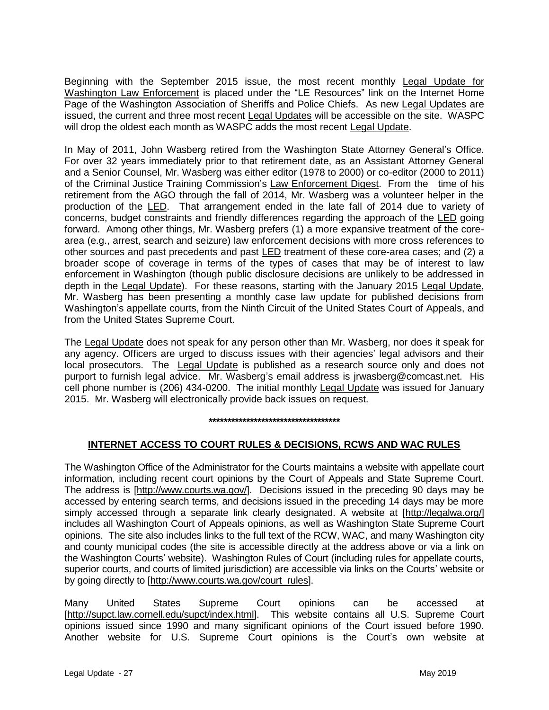Beginning with the September 2015 issue, the most recent monthly Legal Update for Washington Law Enforcement is placed under the "LE Resources" link on the Internet Home Page of the Washington Association of Sheriffs and Police Chiefs. As new Legal Updates are issued, the current and three most recent Legal Updates will be accessible on the site. WASPC will drop the oldest each month as WASPC adds the most recent Legal Update.

In May of 2011, John Wasberg retired from the Washington State Attorney General's Office. For over 32 years immediately prior to that retirement date, as an Assistant Attorney General and a Senior Counsel, Mr. Wasberg was either editor (1978 to 2000) or co-editor (2000 to 2011) of the Criminal Justice Training Commission's Law Enforcement Digest. From the time of his retirement from the AGO through the fall of 2014, Mr. Wasberg was a volunteer helper in the production of the LED. That arrangement ended in the late fall of 2014 due to variety of concerns, budget constraints and friendly differences regarding the approach of the LED going forward. Among other things, Mr. Wasberg prefers (1) a more expansive treatment of the corearea (e.g., arrest, search and seizure) law enforcement decisions with more cross references to other sources and past precedents and past LED treatment of these core-area cases; and (2) a broader scope of coverage in terms of the types of cases that may be of interest to law enforcement in Washington (though public disclosure decisions are unlikely to be addressed in depth in the Legal Update). For these reasons, starting with the January 2015 Legal Update, Mr. Wasberg has been presenting a monthly case law update for published decisions from Washington's appellate courts, from the Ninth Circuit of the United States Court of Appeals, and from the United States Supreme Court.

The Legal Update does not speak for any person other than Mr. Wasberg, nor does it speak for any agency. Officers are urged to discuss issues with their agencies' legal advisors and their local prosecutors. The Legal Update is published as a research source only and does not purport to furnish legal advice. Mr. Wasberg's email address is jrwasberg@comcast.net. His cell phone number is (206) 434-0200. The initial monthly Legal Update was issued for January 2015. Mr. Wasberg will electronically provide back issues on request.

**\*\*\*\*\*\*\*\*\*\*\*\*\*\*\*\*\*\*\*\*\*\*\*\*\*\*\*\*\*\*\*\*\*\*\***

# **INTERNET ACCESS TO COURT RULES & DECISIONS, RCWS AND WAC RULES**

The Washington Office of the Administrator for the Courts maintains a website with appellate court information, including recent court opinions by the Court of Appeals and State Supreme Court. The address is [http://www.courts.wa.gov/]. Decisions issued in the preceding 90 days may be accessed by entering search terms, and decisions issued in the preceding 14 days may be more simply accessed through a separate link clearly designated. A website at [http://legalwa.org/] includes all Washington Court of Appeals opinions, as well as Washington State Supreme Court opinions. The site also includes links to the full text of the RCW, WAC, and many Washington city and county municipal codes (the site is accessible directly at the address above or via a link on the Washington Courts' website). Washington Rules of Court (including rules for appellate courts, superior courts, and courts of limited jurisdiction) are accessible via links on the Courts' website or by going directly to [http://www.courts.wa.gov/court\_rules].

Many United States Supreme Court opinions can be accessed at [http://supct.law.cornell.edu/supct/index.html]. This website contains all U.S. Supreme Court opinions issued since 1990 and many significant opinions of the Court issued before 1990. Another website for U.S. Supreme Court opinions is the Court's own website at